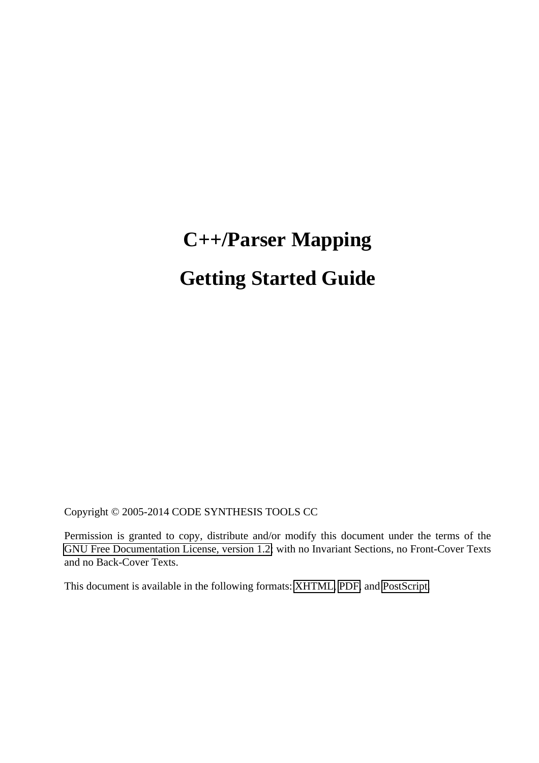# **C++/Parser Mapping Getting Started Guide**

Copyright © 2005-2014 CODE SYNTHESIS TOOLS CC

Permission is granted to copy, distribute and/or modify this document under the terms of the [GNU Free Documentation License, version 1.2;](http://www.codesynthesis.com/licenses/fdl-1.2.txt) with no Invariant Sections, no Front-Cover Texts and no Back-Cover Texts.

This document is available in the following formats: [XHTML,](http://www.codesynthesis.com/projects/xsd/documentation/xsd.xhtml) [PDF,](http://www.codesynthesis.com/mailman/listinfo/xsd-users) and [PostScript.](http://www.codesynthesis.com/pipermail/xsd-users/)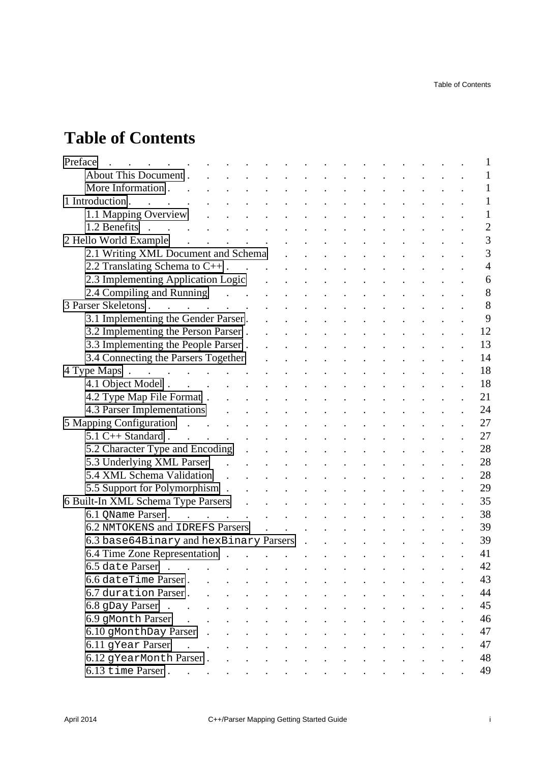# **Table of Contents**

| Preface                                                                                                                                                                                                                                                          |                      |                                                           |                                                                                                 |                                                |               |                      |                |  |  | 1              |
|------------------------------------------------------------------------------------------------------------------------------------------------------------------------------------------------------------------------------------------------------------------|----------------------|-----------------------------------------------------------|-------------------------------------------------------------------------------------------------|------------------------------------------------|---------------|----------------------|----------------|--|--|----------------|
| About This Document.                                                                                                                                                                                                                                             |                      |                                                           |                                                                                                 |                                                |               |                      |                |  |  | 1              |
| More Information.                                                                                                                                                                                                                                                |                      |                                                           |                                                                                                 |                                                |               |                      |                |  |  | 1              |
| 1 Introduction.<br>$\ddot{\phantom{a}}$                                                                                                                                                                                                                          |                      |                                                           |                                                                                                 |                                                |               |                      |                |  |  | $\mathbf{1}$   |
| 1.1 Mapping Overview                                                                                                                                                                                                                                             |                      |                                                           |                                                                                                 |                                                |               |                      |                |  |  | 1              |
| 1.2 Benefits<br>$\sim$                                                                                                                                                                                                                                           |                      |                                                           |                                                                                                 |                                                |               |                      |                |  |  | $\overline{2}$ |
| 2 Hello World Example                                                                                                                                                                                                                                            |                      |                                                           |                                                                                                 |                                                |               |                      |                |  |  | 3              |
| 2.1 Writing XML Document and Schema                                                                                                                                                                                                                              |                      |                                                           |                                                                                                 |                                                |               |                      |                |  |  | 3              |
| 2.2 Translating Schema to $C++$ .                                                                                                                                                                                                                                |                      |                                                           |                                                                                                 |                                                |               |                      |                |  |  | $\overline{4}$ |
| 2.3 Implementing Application Logic                                                                                                                                                                                                                               |                      |                                                           |                                                                                                 |                                                |               |                      |                |  |  | 6              |
| 2.4 Compiling and Running (2.4 Compiling and Running                                                                                                                                                                                                             |                      |                                                           |                                                                                                 |                                                |               |                      |                |  |  | 8              |
| 3 Parser Skeletons.<br>and the contract of the contract of the contract of the contract of the contract of the contract of the contract of                                                                                                                       |                      |                                                           |                                                                                                 |                                                |               |                      |                |  |  | 8              |
| 3.1 Implementing the Gender Parser.                                                                                                                                                                                                                              |                      |                                                           |                                                                                                 |                                                |               |                      |                |  |  | 9              |
| 3.2 Implementing the Person Parser.                                                                                                                                                                                                                              |                      |                                                           |                                                                                                 |                                                |               |                      |                |  |  | 12             |
| 3.3 Implementing the People Parser.                                                                                                                                                                                                                              |                      |                                                           |                                                                                                 |                                                |               |                      |                |  |  | 13             |
| 3.4 Connecting the Parsers Together                                                                                                                                                                                                                              |                      |                                                           |                                                                                                 |                                                |               |                      |                |  |  | 14             |
| 4 Type Maps                                                                                                                                                                                                                                                      |                      |                                                           |                                                                                                 |                                                |               |                      |                |  |  | 18             |
| 4.1 Object Model                                                                                                                                                                                                                                                 |                      |                                                           |                                                                                                 |                                                |               |                      |                |  |  | 18             |
| 4.2 Type Map File Format                                                                                                                                                                                                                                         |                      |                                                           |                                                                                                 |                                                |               |                      |                |  |  | 21             |
| 4.3 Parser Implementations .                                                                                                                                                                                                                                     |                      |                                                           |                                                                                                 |                                                |               |                      |                |  |  | 24             |
| 5 Mapping Configuration                                                                                                                                                                                                                                          |                      |                                                           |                                                                                                 |                                                |               |                      |                |  |  | 27             |
| $5.1$ C++ Standard.<br>$\mathcal{L}^{\mathcal{L}}$ . The set of the set of the set of the set of the set of the set of the set of the set of the set of the set of the set of the set of the set of the set of the set of the set of the set of the set of the s |                      |                                                           |                                                                                                 |                                                |               |                      |                |  |  | 27             |
| 5.2 Character Type and Encoding                                                                                                                                                                                                                                  |                      |                                                           |                                                                                                 |                                                |               |                      |                |  |  | 28             |
| 5.3 Underlying XML Parser                                                                                                                                                                                                                                        |                      |                                                           |                                                                                                 |                                                |               |                      |                |  |  | 28             |
| 5.4 XML Schema Validation.                                                                                                                                                                                                                                       |                      |                                                           |                                                                                                 |                                                |               |                      |                |  |  | 28             |
| 5.5 Support for Polymorphism.                                                                                                                                                                                                                                    |                      |                                                           |                                                                                                 |                                                |               |                      |                |  |  | 29             |
| 6 Built-In XML Schema Type Parsers<br>$\sim 10$                                                                                                                                                                                                                  |                      | $\mathbf{r}$ , $\mathbf{r}$ , $\mathbf{r}$ , $\mathbf{r}$ |                                                                                                 |                                                |               |                      |                |  |  | 35             |
| 6.1 OName Parser                                                                                                                                                                                                                                                 |                      |                                                           |                                                                                                 |                                                |               |                      |                |  |  | 38             |
| 6.2 NMTOKENS and IDREFS Parsers                                                                                                                                                                                                                                  |                      | $\mathbf{r} = \mathbf{r} \cdot \mathbf{r}$                |                                                                                                 |                                                |               |                      |                |  |  | 39             |
| 6.3 base64Binary and hexBinary Parsers.                                                                                                                                                                                                                          |                      |                                                           |                                                                                                 |                                                |               |                      |                |  |  | 39             |
| 6.4 Time Zone Representation                                                                                                                                                                                                                                     |                      |                                                           |                                                                                                 |                                                |               | $\ddot{\phantom{a}}$ | $\blacksquare$ |  |  | 41             |
| 6.5 date Parser<br>$\mathbb{R}^2$                                                                                                                                                                                                                                |                      |                                                           |                                                                                                 |                                                |               |                      |                |  |  | 42             |
| 6.6 dateTime Parser.                                                                                                                                                                                                                                             |                      |                                                           |                                                                                                 |                                                |               |                      |                |  |  | 43             |
| 6.7 duration Parser.<br>$\mathbf{r}$ . The set of $\mathbf{r}$<br>$\ddot{\phantom{a}}$                                                                                                                                                                           | $\ddot{\phantom{a}}$ | $\mathcal{L}(\mathcal{L}(\mathcal{L}))$                   |                                                                                                 | $\mathbf{r}$ and $\mathbf{r}$ and $\mathbf{r}$ | $\sim$ $\sim$ |                      |                |  |  | 44             |
| $6.8$ gDay Parser<br>$\sim 10^{-11}$                                                                                                                                                                                                                             | $\sim 10^{-11}$      | $\mathbb{R}^{n \times n}$                                 | $\mathbf{r} = \mathbf{r} \times \mathbf{r}$ , where $\mathbf{r} = \mathbf{r} \times \mathbf{r}$ |                                                |               |                      |                |  |  | 45             |
| 6.9 gMonth Parser<br>$\mathbf{r}$ . The set of $\mathbf{r}$<br>$\mathcal{L}^{\mathcal{A}}$ , and $\mathcal{L}^{\mathcal{A}}$ , and $\mathcal{L}^{\mathcal{A}}$                                                                                                   |                      |                                                           | $\sim$ $\sim$                                                                                   | $\mathbf{L}^{\text{max}}$                      |               |                      |                |  |  | 46             |
| 6.10 gMonthDay Parser.<br>$\mathbf{r} = \mathbf{r} + \mathbf{r} + \mathbf{r} + \mathbf{r}$                                                                                                                                                                       |                      |                                                           | $\sim 100$ km s $^{-1}$                                                                         | $\ddot{\phantom{a}}$                           |               |                      |                |  |  | 47             |
| 6.11 gYear Parser<br>$\mathbf{r}$ . $\mathbf{r}$<br>$\ddot{\phantom{a}}$                                                                                                                                                                                         |                      |                                                           |                                                                                                 |                                                |               |                      |                |  |  | 47             |
| 6.12 gYearMonth Parser                                                                                                                                                                                                                                           |                      |                                                           |                                                                                                 |                                                |               |                      |                |  |  | 48             |
| 6.13 time Parser                                                                                                                                                                                                                                                 |                      |                                                           |                                                                                                 |                                                |               |                      |                |  |  | 49             |
|                                                                                                                                                                                                                                                                  |                      |                                                           |                                                                                                 |                                                |               |                      |                |  |  |                |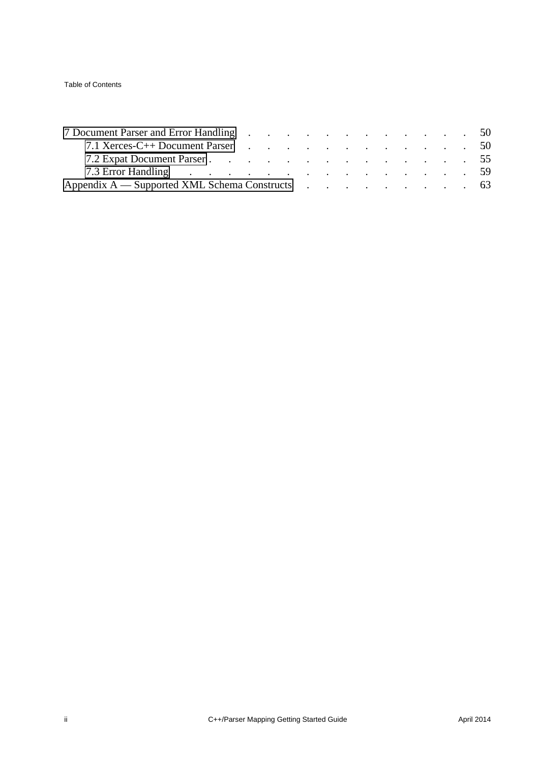Table of Contents

| 7 Document Parser and Error Handling 50                                                                                                                                                                                        |  |  |  |  |  |  |  |
|--------------------------------------------------------------------------------------------------------------------------------------------------------------------------------------------------------------------------------|--|--|--|--|--|--|--|
| 7.1 Xerces-C++ Document Parser 50                                                                                                                                                                                              |  |  |  |  |  |  |  |
| 7.2 Expat Document Parser 55                                                                                                                                                                                                   |  |  |  |  |  |  |  |
| 7.3 Error Handling (a) contract the contract of the contract of the contract of the contract of the contract of the contract of the contract of the contract of the contract of the contract of the contract of the contract o |  |  |  |  |  |  |  |
| Appendix A — Supported XML Schema Constructs 63                                                                                                                                                                                |  |  |  |  |  |  |  |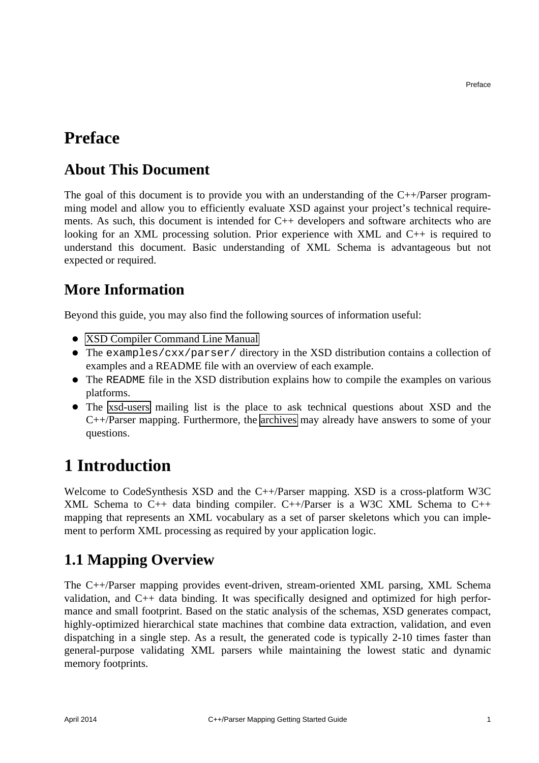#### <span id="page-4-0"></span>**Preface**

#### <span id="page-4-1"></span>**About This Document**

The goal of this document is to provide you with an understanding of the  $C++/P$ arser programming model and allow you to efficiently evaluate XSD against your project's technical requirements. As such, this document is intended for  $C_{++}$  developers and software architects who are looking for an XML processing solution. Prior experience with XML and C++ is required to understand this document. Basic understanding of XML Schema is advantageous but not expected or required.

#### <span id="page-4-2"></span>**More Information**

Beyond this guide, you may also find the following sources of information useful:

- [XSD Compiler Command Line Manual](http://www.codesynthesis.com/projects/xsd/documentation/xsd.xhtml)
- The examples/cxx/parser/ directory in the XSD distribution contains a collection of examples and a README file with an overview of each example.
- The README file in the XSD distribution explains how to compile the examples on various platforms.
- The [xsd-users](http://www.codesynthesis.com/mailman/listinfo/xsd-users) mailing list is the place to ask technical questions about XSD and the C++/Parser mapping. Furthermore, the [archives](http://www.codesynthesis.com/pipermail/xsd-users/) may already have answers to some of your questions.

## <span id="page-4-3"></span>**1 Introduction**

Welcome to CodeSynthesis XSD and the C++/Parser mapping. XSD is a cross-platform W3C XML Schema to C++ data binding compiler. C++/Parser is a W3C XML Schema to C++ mapping that represents an XML vocabulary as a set of parser skeletons which you can implement to perform XML processing as required by your application logic.

### <span id="page-4-4"></span>**1.1 Mapping Overview**

The C++/Parser mapping provides event-driven, stream-oriented XML parsing, XML Schema validation, and C++ data binding. It was specifically designed and optimized for high performance and small footprint. Based on the static analysis of the schemas, XSD generates compact, highly-optimized hierarchical state machines that combine data extraction, validation, and even dispatching in a single step. As a result, the generated code is typically 2-10 times faster than general-purpose validating XML parsers while maintaining the lowest static and dynamic memory footprints.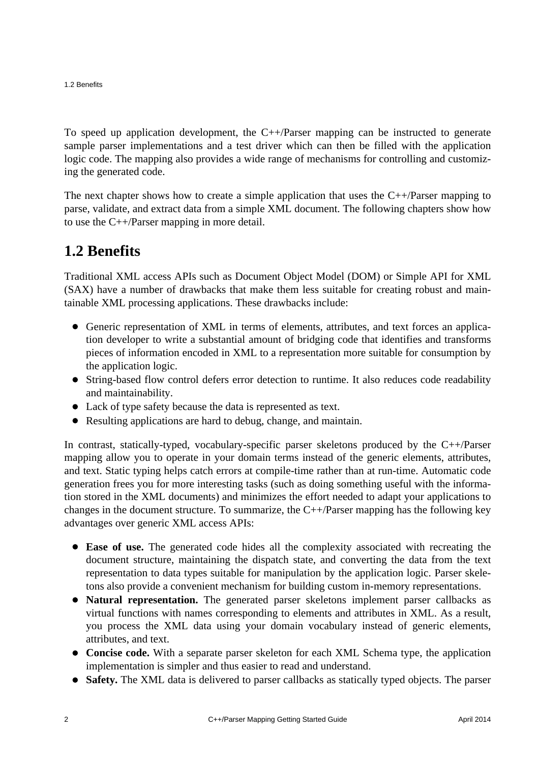To speed up application development, the C++/Parser mapping can be instructed to generate sample parser implementations and a test driver which can then be filled with the application logic code. The mapping also provides a wide range of mechanisms for controlling and customizing the generated code.

The next chapter shows how to create a simple application that uses the  $C++/P$ arser mapping to parse, validate, and extract data from a simple XML document. The following chapters show how to use the C++/Parser mapping in more detail.

#### <span id="page-5-0"></span>**1.2 Benefits**

Traditional XML access APIs such as Document Object Model (DOM) or Simple API for XML (SAX) have a number of drawbacks that make them less suitable for creating robust and maintainable XML processing applications. These drawbacks include:

- Generic representation of XML in terms of elements, attributes, and text forces an application developer to write a substantial amount of bridging code that identifies and transforms pieces of information encoded in XML to a representation more suitable for consumption by the application logic.
- String-based flow control defers error detection to runtime. It also reduces code readability and maintainability.
- Lack of type safety because the data is represented as text.
- Resulting applications are hard to debug, change, and maintain.

In contrast, statically-typed, vocabulary-specific parser skeletons produced by the C++/Parser mapping allow you to operate in your domain terms instead of the generic elements, attributes, and text. Static typing helps catch errors at compile-time rather than at run-time. Automatic code generation frees you for more interesting tasks (such as doing something useful with the information stored in the XML documents) and minimizes the effort needed to adapt your applications to changes in the document structure. To summarize, the C++/Parser mapping has the following key advantages over generic XML access APIs:

- **Ease of use.** The generated code hides all the complexity associated with recreating the document structure, maintaining the dispatch state, and converting the data from the text representation to data types suitable for manipulation by the application logic. Parser skeletons also provide a convenient mechanism for building custom in-memory representations.
- **Natural representation.** The generated parser skeletons implement parser callbacks as virtual functions with names corresponding to elements and attributes in XML. As a result, you process the XML data using your domain vocabulary instead of generic elements, attributes, and text.
- **Concise code.** With a separate parser skeleton for each XML Schema type, the application implementation is simpler and thus easier to read and understand.
- **Safety.** The XML data is delivered to parser callbacks as statically typed objects. The parser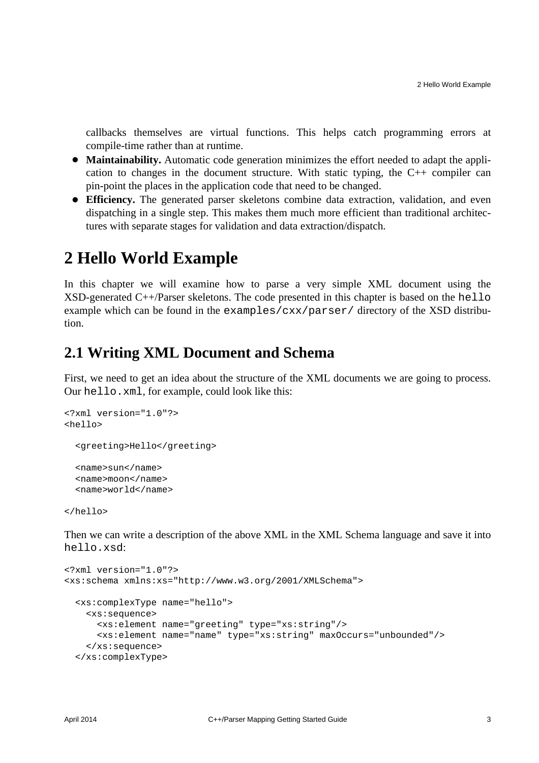callbacks themselves are virtual functions. This helps catch programming errors at compile-time rather than at runtime.

- **Maintainability.** Automatic code generation minimizes the effort needed to adapt the application to changes in the document structure. With static typing, the C++ compiler can pin-point the places in the application code that need to be changed.
- **Efficiency.** The generated parser skeletons combine data extraction, validation, and even dispatching in a single step. This makes them much more efficient than traditional architectures with separate stages for validation and data extraction/dispatch.

### <span id="page-6-0"></span>**2 Hello World Example**

In this chapter we will examine how to parse a very simple XML document using the  $XSD$ -generated  $C++/P$ arser skeletons. The code presented in this chapter is based on the hello example which can be found in the examples/cxx/parser/ directory of the XSD distribution.

#### <span id="page-6-1"></span>**2.1 Writing XML Document and Schema**

First, we need to get an idea about the structure of the XML documents we are going to process. Our hello.xml, for example, could look like this:

```
<?xml version="1.0"?>
<hello>
   <greeting>Hello</greeting>
   <name>sun</name>
   <name>moon</name>
   <name>world</name>
```
</hello>

Then we can write a description of the above XML in the XML Schema language and save it into hello.xsd:

```
<?xml version="1.0"?>
<xs:schema xmlns:xs="http://www.w3.org/2001/XMLSchema">
  <xs:complexType name="hello">
     <xs:sequence>
       <xs:element name="greeting" type="xs:string"/>
       <xs:element name="name" type="xs:string" maxOccurs="unbounded"/>
     </xs:sequence>
  </xs:complexType>
```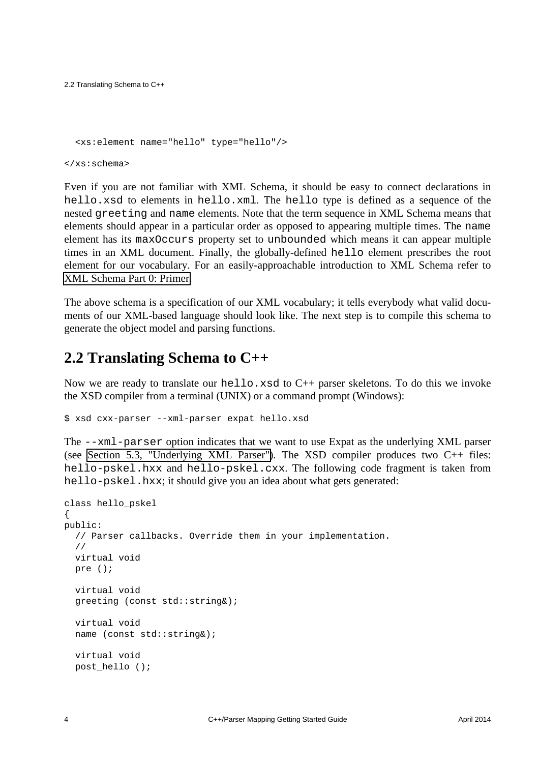2.2 Translating Schema to C++

```
 <xs:element name="hello" type="hello"/>
```
</xs:schema>

Even if you are not familiar with XML Schema, it should be easy to connect declarations in hello.xsd to elements in hello.xml. The hello type is defined as a sequence of the nested greeting and name elements. Note that the term sequence in XML Schema means that elements should appear in a particular order as opposed to appearing multiple times. The name element has its maxOccurs property set to unbounded which means it can appear multiple times in an XML document. Finally, the globally-defined hello element prescribes the root element for our vocabulary. For an easily-approachable introduction to XML Schema refer to [XML Schema Part 0: Primer.](http://www.w3.org/TR/xmlschema-0/)

The above schema is a specification of our XML vocabulary; it tells everybody what valid documents of our XML-based language should look like. The next step is to compile this schema to generate the object model and parsing functions.

#### <span id="page-7-0"></span>**2.2 Translating Schema to C++**

Now we are ready to translate our hello.xsd to  $C_{++}$  parser skeletons. To do this we invoke the XSD compiler from a terminal (UNIX) or a command prompt (Windows):

\$ xsd cxx-parser --xml-parser expat hello.xsd

The --xml-parser option indicates that we want to use Expat as the underlying XML parser (see [Section 5.3, "Underlying XML Parser"\)](#page-31-1). The XSD compiler produces two  $C_{++}$  files: hello-pskel.hxx and hello-pskel.cxx. The following code fragment is taken from hello-pskel.hxx; it should give you an idea about what gets generated:

```
class hello_pskel
{
public:
   // Parser callbacks. Override them in your implementation.
   //
   virtual void
   pre ();
   virtual void
   greeting (const std::string&);
   virtual void
   name (const std::string&);
   virtual void
  post hello ();
```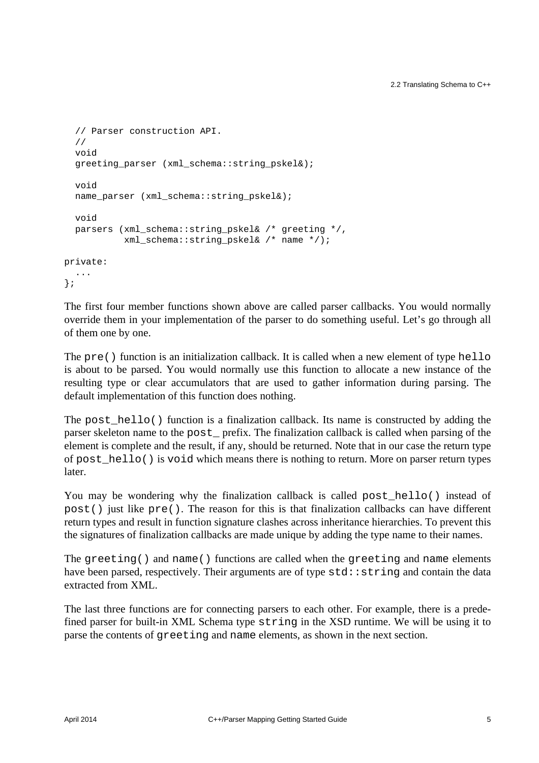```
 // Parser construction API.
   //
   void
  greeting parser (xml schema::string pskel&);
   void
  name_parser (xml_schema::string_pskel&);
   void
  parsers (xml schema::string pskel& /* greeting */,
            xml_schema::string_pskel& /* name */);
private:
   ...
};
```
The first four member functions shown above are called parser callbacks. You would normally override them in your implementation of the parser to do something useful. Let's go through all of them one by one.

The pre() function is an initialization callback. It is called when a new element of type hello is about to be parsed. You would normally use this function to allocate a new instance of the resulting type or clear accumulators that are used to gather information during parsing. The default implementation of this function does nothing.

The post\_hello() function is a finalization callback. Its name is constructed by adding the parser skeleton name to the post\_ prefix. The finalization callback is called when parsing of the element is complete and the result, if any, should be returned. Note that in our case the return type of post\_hello() is void which means there is nothing to return. More on parser return types later.

You may be wondering why the finalization callback is called post\_hello() instead of post() just like  $pre()$ . The reason for this is that finalization callbacks can have different return types and result in function signature clashes across inheritance hierarchies. To prevent this the signatures of finalization callbacks are made unique by adding the type name to their names.

The greeting() and name() functions are called when the greeting and name elements have been parsed, respectively. Their arguments are of type  $std$ : string and contain the data extracted from XML.

The last three functions are for connecting parsers to each other. For example, there is a predefined parser for built-in XML Schema type string in the XSD runtime. We will be using it to parse the contents of greeting and name elements, as shown in the next section.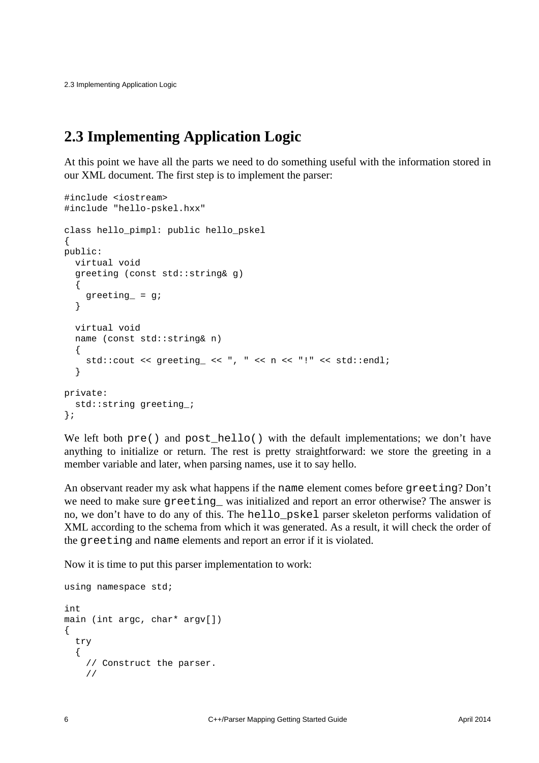2.3 Implementing Application Logic

#### <span id="page-9-0"></span>**2.3 Implementing Application Logic**

At this point we have all the parts we need to do something useful with the information stored in our XML document. The first step is to implement the parser:

```
#include <iostream>
#include "hello-pskel.hxx"
class hello_pimpl: public hello_pskel
{
public:
   virtual void
   greeting (const std::string& g)
\{ greeting_ = g;
   }
   virtual void
   name (const std::string& n)
   {
    std::cout << greeting_ << ", " << n << "!" << std::endl;
   }
private:
  std:: string greeting;
};
```
We left both  $pre()$  and post hello() with the default implementations; we don't have anything to initialize or return. The rest is pretty straightforward: we store the greeting in a member variable and later, when parsing names, use it to say hello.

An observant reader my ask what happens if the name element comes before greeting? Don't we need to make sure greeting\_ was initialized and report an error otherwise? The answer is no, we don't have to do any of this. The hello\_pskel parser skeleton performs validation of XML according to the schema from which it was generated. As a result, it will check the order of the greeting and name elements and report an error if it is violated.

Now it is time to put this parser implementation to work:

```
using namespace std;
int
main (int argc, char* argv[])
{
   try
   {
     // Construct the parser.
     //
```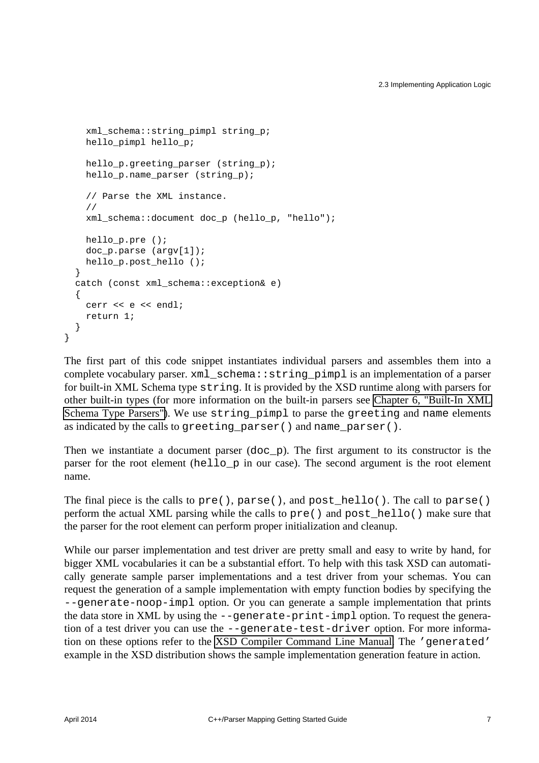```
 xml_schema::string_pimpl string_p;
   hello pimpl hello p;
   hello p.greeting parser (string p);
   hello p.name parser (string p);
     // Parse the XML instance.
     //
   xml schema::document doc p (hello p, "hello");
    hello_p.pre ();
   doc p.parse (\text{arqu}[1]);
   hello p.post hello ();
  }
  catch (const xml_schema::exception& e)
\{ cerr << e << endl;
    return 1;
  }
```
The first part of this code snippet instantiates individual parsers and assembles them into a complete vocabulary parser. xml\_schema::string\_pimpl is an implementation of a parser for built-in XML Schema type string. It is provided by the XSD runtime along with parsers for other built-in types (for more information on the built-in parsers see [Chapter 6, "Built-In XML](#page-38-0) [Schema Type Parsers"\)](#page-38-0). We use string pimpl to parse the greeting and name elements as indicated by the calls to greeting  $parser()$  and name  $parser()$ .

Then we instantiate a document parser (doc\_p). The first argument to its constructor is the parser for the root element (hello\_p in our case). The second argument is the root element name.

The final piece is the calls to  $pre()$ , parse $()$ , and post hello(). The call to parse() perform the actual XML parsing while the calls to  $pre()$  and post  $hello()$  make sure that the parser for the root element can perform proper initialization and cleanup.

While our parser implementation and test driver are pretty small and easy to write by hand, for bigger XML vocabularies it can be a substantial effort. To help with this task XSD can automatically generate sample parser implementations and a test driver from your schemas. You can request the generation of a sample implementation with empty function bodies by specifying the --generate-noop-impl option. Or you can generate a sample implementation that prints the data store in XML by using the --generate-print-impl option. To request the generation of a test driver you can use the --generate-test-driver option. For more information on these options refer to the [XSD Compiler Command Line Manual.](http://www.codesynthesis.com/projects/xsd/documentation/xsd.xhtml) The 'generated' example in the XSD distribution shows the sample implementation generation feature in action.

}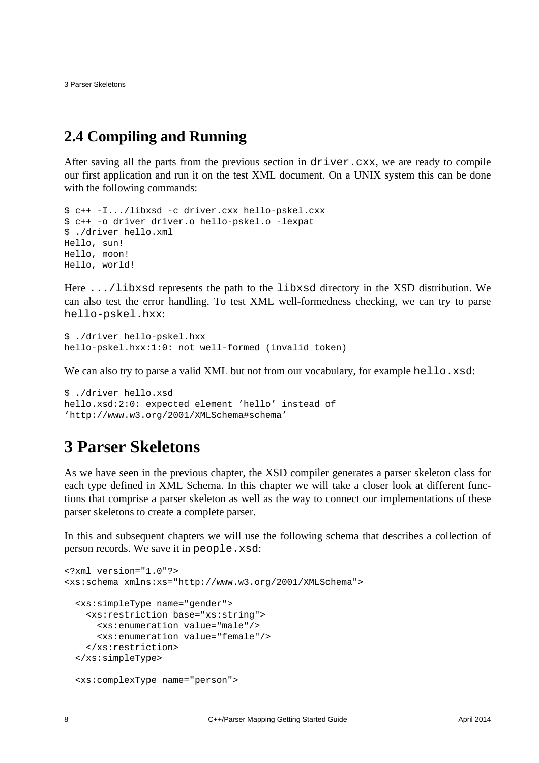3 Parser Skeletons

#### <span id="page-11-0"></span>**2.4 Compiling and Running**

After saving all the parts from the previous section in driver.cxx, we are ready to compile our first application and run it on the test XML document. On a UNIX system this can be done with the following commands:

```
$ c++ -I.../libxsd -c driver.cxx hello-pskel.cxx
$ c++ -o driver driver.o hello-pskel.o -lexpat
$ ./driver hello.xml
Hello, sun!
Hello, moon!
Hello, world!
```
Here .../libxsd represents the path to the libxsd directory in the XSD distribution. We can also test the error handling. To test XML well-formedness checking, we can try to parse hello-pskel.hxx:

```
$ ./driver hello-pskel.hxx
hello-pskel.hxx:1:0: not well-formed (invalid token)
```
We can also try to parse a valid XML but not from our vocabulary, for example hello.xsd:

```
$ ./driver hello.xsd
hello.xsd:2:0: expected element 'hello' instead of
'http://www.w3.org/2001/XMLSchema#schema'
```
### <span id="page-11-1"></span>**3 Parser Skeletons**

As we have seen in the previous chapter, the XSD compiler generates a parser skeleton class for each type defined in XML Schema. In this chapter we will take a closer look at different functions that comprise a parser skeleton as well as the way to connect our implementations of these parser skeletons to create a complete parser.

In this and subsequent chapters we will use the following schema that describes a collection of person records. We save it in people.xsd:

```
<?xml version="1.0"?>
<xs:schema xmlns:xs="http://www.w3.org/2001/XMLSchema">
  <xs:simpleType name="gender">
     <xs:restriction base="xs:string">
       <xs:enumeration value="male"/>
       <xs:enumeration value="female"/>
     </xs:restriction>
   </xs:simpleType>
  <xs:complexType name="person">
```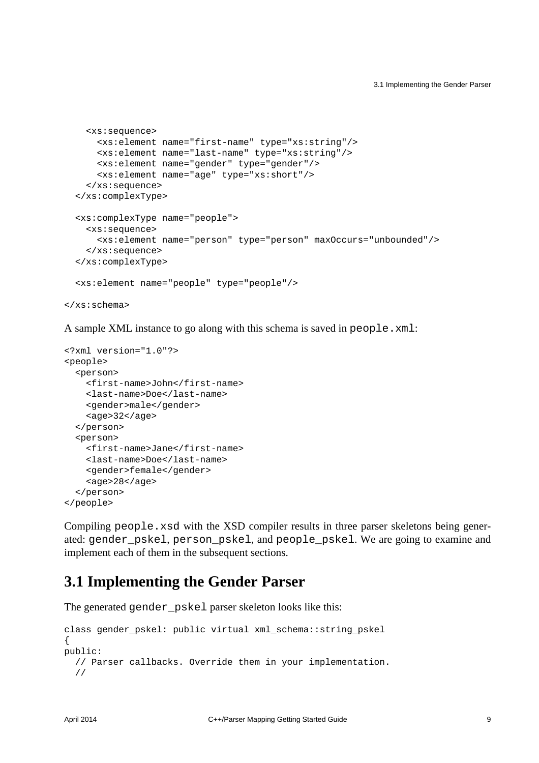```
 <xs:sequence>
       <xs:element name="first-name" type="xs:string"/>
       <xs:element name="last-name" type="xs:string"/>
       <xs:element name="gender" type="gender"/>
       <xs:element name="age" type="xs:short"/>
     </xs:sequence>
   </xs:complexType>
   <xs:complexType name="people">
     <xs:sequence>
       <xs:element name="person" type="person" maxOccurs="unbounded"/>
     </xs:sequence>
   </xs:complexType>
  <xs:element name="people" type="people"/>
</xs:schema>
```
A sample XML instance to go along with this schema is saved in people.xml:

```
<?xml version="1.0"?>
<people>
   <person>
     <first-name>John</first-name>
     <last-name>Doe</last-name>
     <gender>male</gender>
     <age>32</age>
   </person>
   <person>
     <first-name>Jane</first-name>
     <last-name>Doe</last-name>
     <gender>female</gender>
     <age>28</age>
   </person>
</people>
```
Compiling people.xsd with the XSD compiler results in three parser skeletons being generated: gender\_pskel, person\_pskel, and people\_pskel. We are going to examine and implement each of them in the subsequent sections.

#### <span id="page-12-0"></span>**3.1 Implementing the Gender Parser**

The generated gender\_pskel parser skeleton looks like this:

```
class gender_pskel: public virtual xml_schema::string_pskel
{
public:
  // Parser callbacks. Override them in your implementation.
   //
```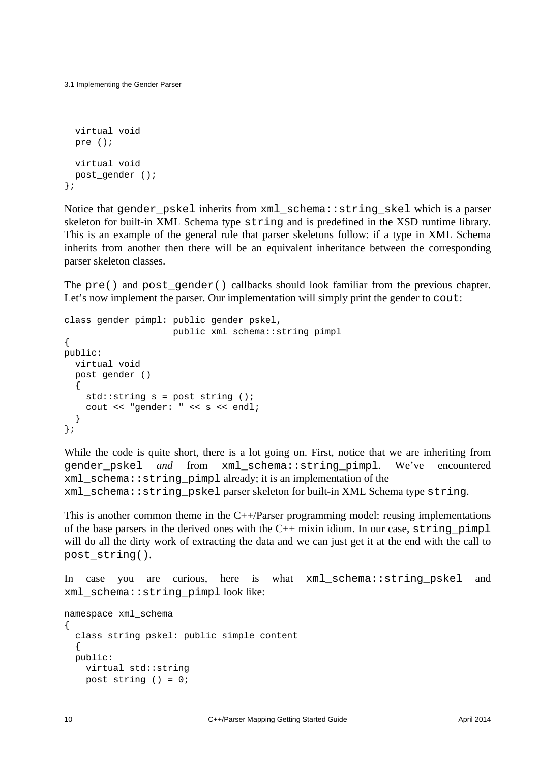```
3.1 Implementing the Gender Parser
```

```
 virtual void
  pre ();
  virtual void
 post gender ();
};
```
Notice that gender\_pskel inherits from xml\_schema::string\_skel which is a parser skeleton for built-in XML Schema type string and is predefined in the XSD runtime library. This is an example of the general rule that parser skeletons follow: if a type in XML Schema inherits from another then there will be an equivalent inheritance between the corresponding parser skeleton classes.

The pre() and post\_gender() callbacks should look familiar from the previous chapter. Let's now implement the parser. Our implementation will simply print the gender to cout:

```
class gender_pimpl: public gender_pskel,
                     public xml_schema::string_pimpl
{
public:
  virtual void
  post_gender ()
\{std::string s = post_string();
     cout << "gender: " << s << endl;
   }
};
```
While the code is quite short, there is a lot going on. First, notice that we are inheriting from gender\_pskel *and* from xml\_schema::string\_pimpl. We've encountered xml\_schema::string\_pimpl already; it is an implementation of the xml\_schema::string\_pskel parser skeleton for built-in XML Schema type string.

This is another common theme in the  $C++/Parser$  programming model: reusing implementations of the base parsers in the derived ones with the  $C++$  mixin idiom. In our case,  $string\_pimp1$ will do all the dirty work of extracting the data and we can just get it at the end with the call to post\_string().

In case you are curious, here is what xml\_schema::string\_pskel and xml\_schema::string\_pimpl look like:

```
namespace xml_schema
\left\{ \right. class string_pskel: public simple_content
   {
   public:
     virtual std::string
     post_string () = 0;
```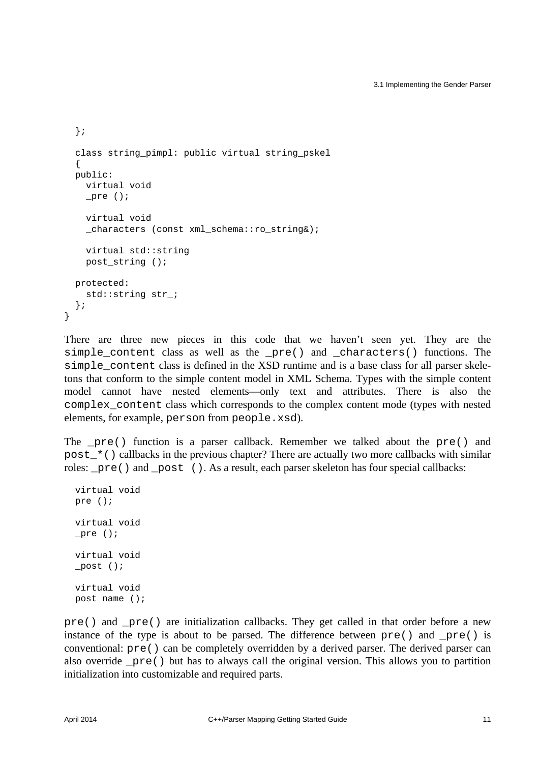```
 };
 class string pimpl: public virtual string pskel
\{ public:
    virtual void
    _pre ();
    virtual void
    characters (const xml schema::ro string&);
    virtual std::string
   post string ();
  protected:
   std:: string str ;
  };
}
```
There are three new pieces in this code that we haven't seen yet. They are the simple content class as well as the  $pre()$  and characters() functions. The simple\_content class is defined in the XSD runtime and is a base class for all parser skeletons that conform to the simple content model in XML Schema. Types with the simple content model cannot have nested elements—only text and attributes. There is also the complex\_content class which corresponds to the complex content mode (types with nested elements, for example, person from people.xsd).

The  $pre()$  function is a parser callback. Remember we talked about the  $pre()$  and post  $*($ ) callbacks in the previous chapter? There are actually two more callbacks with similar roles: \_pre() and \_post (). As a result, each parser skeleton has four special callbacks:

```
 virtual void
 pre ();
 virtual void
 _pre ();
 virtual void
 _post ();
 virtual void
 post_name ();
```
pre() and \_pre() are initialization callbacks. They get called in that order before a new instance of the type is about to be parsed. The difference between  $pre()$  and  $pre()$  is conventional: pre() can be completely overridden by a derived parser. The derived parser can also override  $pre()$  but has to always call the original version. This allows you to partition initialization into customizable and required parts.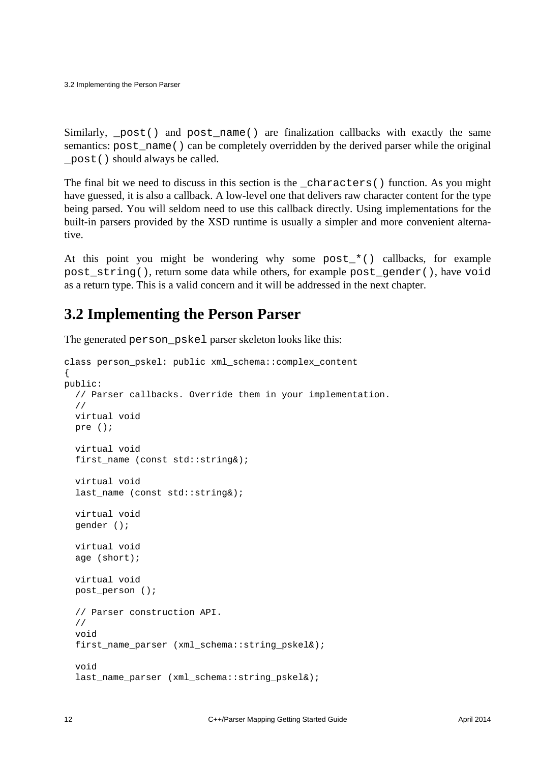3.2 Implementing the Person Parser

Similarly, \_post() and post\_name() are finalization callbacks with exactly the same semantics: post\_name() can be completely overridden by the derived parser while the original \_post() should always be called.

The final bit we need to discuss in this section is the \_characters() function. As you might have guessed, it is also a callback. A low-level one that delivers raw character content for the type being parsed. You will seldom need to use this callback directly. Using implementations for the built-in parsers provided by the XSD runtime is usually a simpler and more convenient alternative.

At this point you might be wondering why some post\_\*() callbacks, for example post string(), return some data while others, for example post gender(), have void as a return type. This is a valid concern and it will be addressed in the next chapter.

#### <span id="page-15-0"></span>**3.2 Implementing the Person Parser**

The generated person\_pskel parser skeleton looks like this:

```
class person_pskel: public xml_schema::complex_content
{
public:
  // Parser callbacks. Override them in your implementation.
   //
  virtual void
  pre ();
   virtual void
  first name (const std::string&);
   virtual void
  last name (const std::string&);
   virtual void
   gender ();
   virtual void
   age (short);
   virtual void
 post person ();
   // Parser construction API.
   //
   void
  first name parser (xml schema::string pskel&);
   void
   last_name_parser (xml_schema::string_pskel&);
```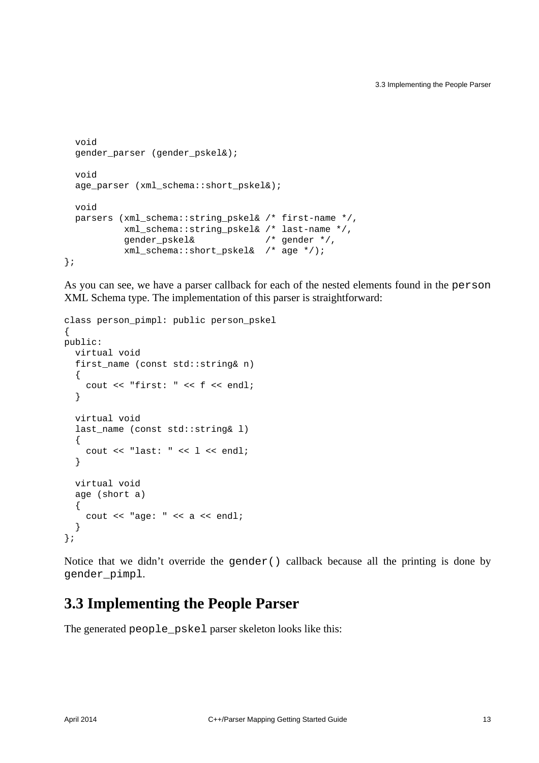```
 void
  gender_parser (gender_pskel&);
  void
 age_parser (xml_schema::short_pskel&);
  void
 parsers (xml schema::string pskel& /* first-name */,
           xml_schema::string_pskel& /* last-name */,
           gender_pskel& /* gender */,
           xml_schema::short_pskel& /* age */);
};
```
As you can see, we have a parser callback for each of the nested elements found in the person XML Schema type. The implementation of this parser is straightforward:

```
class person_pimpl: public person_pskel
{
public:
   virtual void
   first_name (const std::string& n)
   {
     cout << "first: " << f << endl;
   }
   virtual void
   last_name (const std::string& l)
   {
   cout << "last: " << l << endl;
   }
   virtual void
   age (short a)
   {
    cout << "age: " << a << endl;
   }
};
```
Notice that we didn't override the gender() callback because all the printing is done by gender\_pimpl.

#### <span id="page-16-0"></span>**3.3 Implementing the People Parser**

The generated people\_pskel parser skeleton looks like this: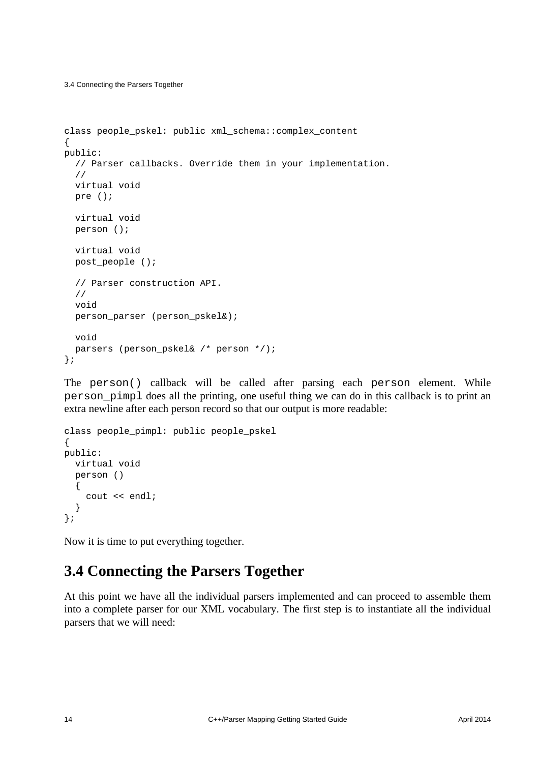3.4 Connecting the Parsers Together

```
class people_pskel: public xml_schema::complex_content
{
public:
   // Parser callbacks. Override them in your implementation.
   //
   virtual void
   pre ();
   virtual void
   person ();
   virtual void
  post people ();
   // Parser construction API.
   //
   void
   person_parser (person_pskel&);
   void
  parsers (person pskel& /* person */);
};
```
The person() callback will be called after parsing each person element. While person\_pimpl does all the printing, one useful thing we can do in this callback is to print an extra newline after each person record so that our output is more readable:

```
class people_pimpl: public people_pskel
{
public:
   virtual void
   person ()
   {
     cout << endl;
   }
};
```
Now it is time to put everything together.

#### <span id="page-17-0"></span>**3.4 Connecting the Parsers Together**

At this point we have all the individual parsers implemented and can proceed to assemble them into a complete parser for our XML vocabulary. The first step is to instantiate all the individual parsers that we will need: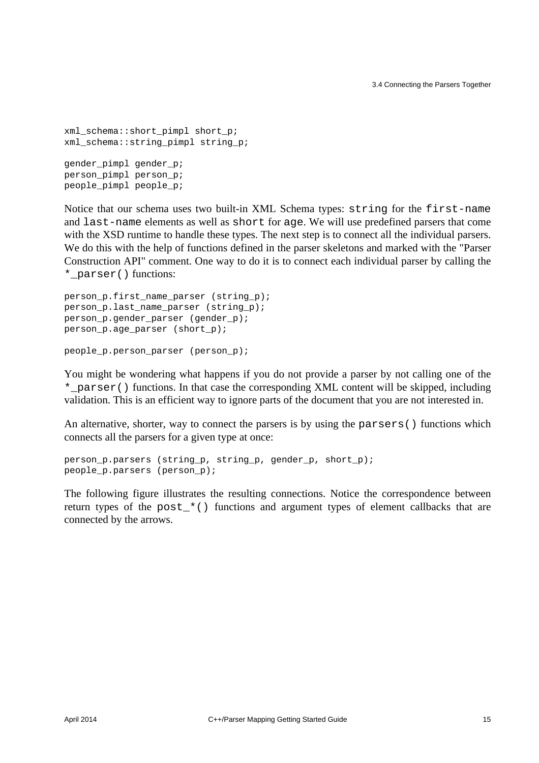```
xml schema::short pimpl short p;
xml_schema::string_pimpl string_p;
gender_pimpl gender_p;
person_pimpl person_p;
people_pimpl people_p;
```
Notice that our schema uses two built-in XML Schema types: string for the first-name and last-name elements as well as short for age. We will use predefined parsers that come with the XSD runtime to handle these types. The next step is to connect all the individual parsers. We do this with the help of functions defined in the parser skeletons and marked with the "Parser Construction API" comment. One way to do it is to connect each individual parser by calling the \*\_parser() functions:

```
person_p.first_name_parser (string_p);
person p.last name parser (string p);
person_p.gender_parser (gender_p);
person_p.age_parser (short_p);
```

```
people_p.person_parser (person_p);
```
You might be wondering what happens if you do not provide a parser by not calling one of the \*\_parser() functions. In that case the corresponding XML content will be skipped, including validation. This is an efficient way to ignore parts of the document that you are not interested in.

An alternative, shorter, way to connect the parsers is by using the parsers() functions which connects all the parsers for a given type at once:

```
person_p.parsers (string_p, string_p, gender_p, short_p);
people_p.parsers (person_p);
```
The following figure illustrates the resulting connections. Notice the correspondence between return types of the post\_\*() functions and argument types of element callbacks that are connected by the arrows.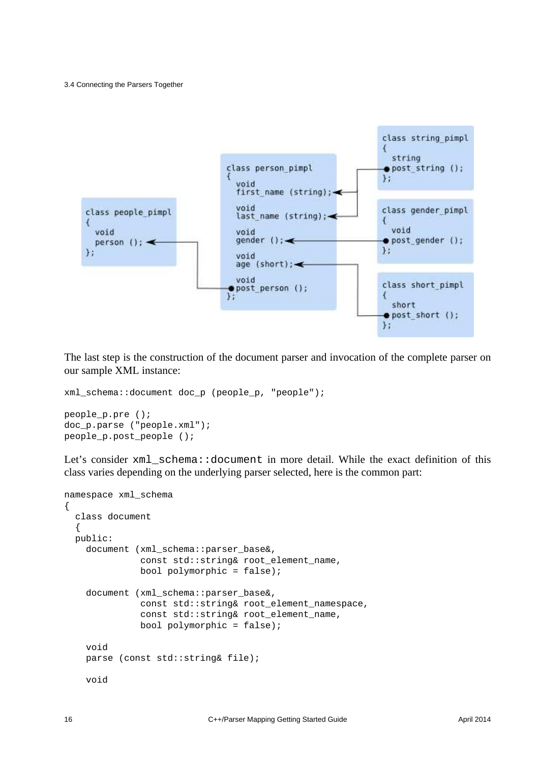3.4 Connecting the Parsers Together



The last step is the construction of the document parser and invocation of the complete parser on our sample XML instance:

```
xml_schema::document doc_p (people_p, "people");
people_p.pre ();
doc_p.parse ("people.xml");
people p.post people ();
```
Let's consider xml\_schema::document in more detail. While the exact definition of this class varies depending on the underlying parser selected, here is the common part:

```
namespace xml_schema
{
   class document
   {
   public:
     document (xml_schema::parser_base&,
               const std::string& root_element_name,
              bool polymorphic = false);
     document (xml_schema::parser_base&,
               const std::string& root_element_namespace,
               const std::string& root_element_name,
               bool polymorphic = false);
     void
     parse (const std::string& file);
     void
```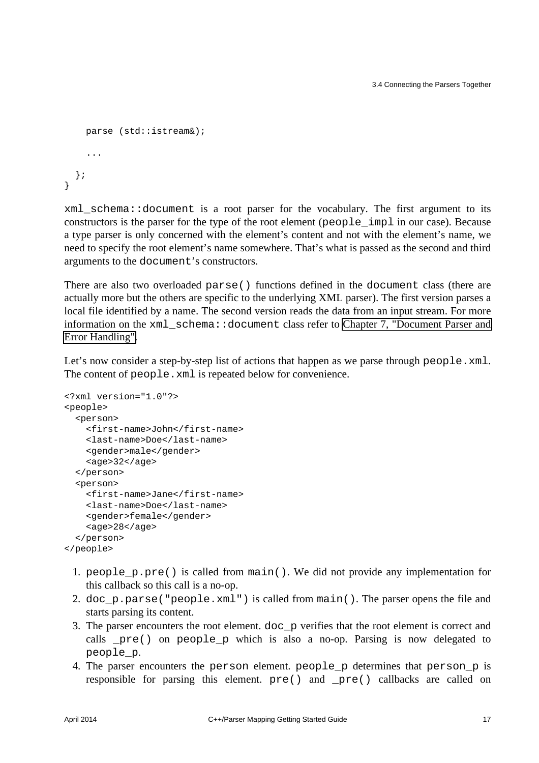```
 parse (std::istream&);
     ...
  };
}
```
xml\_schema::document is a root parser for the vocabulary. The first argument to its constructors is the parser for the type of the root element (people\_impl in our case). Because a type parser is only concerned with the element's content and not with the element's name, we need to specify the root element's name somewhere. That's what is passed as the second and third arguments to the document's constructors.

There are also two overloaded parse() functions defined in the document class (there are actually more but the others are specific to the underlying XML parser). The first version parses a local file identified by a name. The second version reads the data from an input stream. For more information on the xml schema::document class refer to [Chapter 7, "Document Parser and](#page-53-0) [Error Handling".](#page-53-0)

Let's now consider a step-by-step list of actions that happen as we parse through people.xml. The content of people.xml is repeated below for convenience.

```
<?xml version="1.0"?>
<people>
   <person>
     <first-name>John</first-name>
     <last-name>Doe</last-name>
     <gender>male</gender>
    <sub>age</sub> > 32 < /age</sub>
   </person>
   <person>
     <first-name>Jane</first-name>
     <last-name>Doe</last-name>
     <gender>female</gender>
     <age>28</age>
   </person>
</people>
```
- 1. people\_p.pre() is called from main(). We did not provide any implementation for this callback so this call is a no-op.
- 2. doc\_p.parse("people.xml") is called from main(). The parser opens the file and starts parsing its content.
- 3. The parser encounters the root element. doc\_p verifies that the root element is correct and calls \_pre() on people\_p which is also a no-op. Parsing is now delegated to people\_p.
- 4. The parser encounters the person element. people\_p determines that person\_p is responsible for parsing this element. pre() and \_pre() callbacks are called on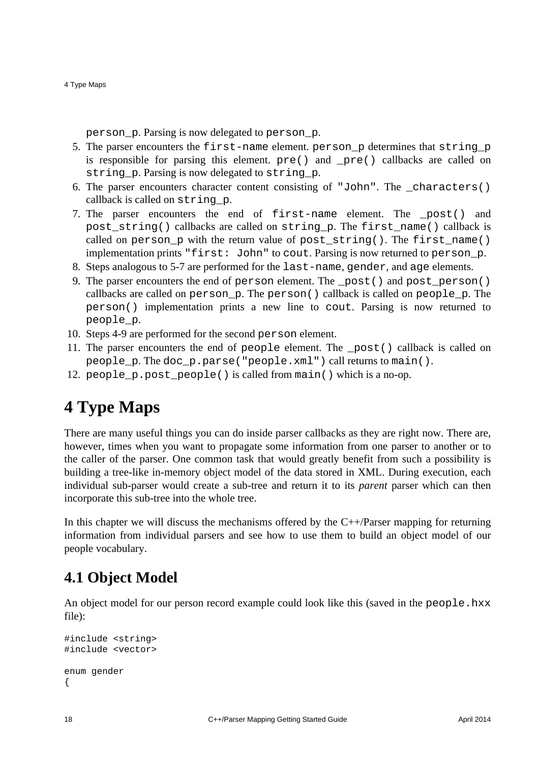4 Type Maps

person\_p. Parsing is now delegated to person\_p.

- 5. The parser encounters the  $first$ -name element. person p determines that string p is responsible for parsing this element.  $pre()$  and  $pre()$  callbacks are called on string\_p. Parsing is now delegated to string\_p.
- 6. The parser encounters character content consisting of "John". The characters() callback is called on string\_p.
- 7. The parser encounters the end of first-name element. The \_post() and post\_string() callbacks are called on string\_p. The first\_name() callback is called on person  $p$  with the return value of post\_string(). The first\_name() implementation prints "first: John" to cout. Parsing is now returned to person\_p.
- 8. Steps analogous to 5-7 are performed for the last-name, gender, and age elements.
- 9. The parser encounters the end of person element. The \_post() and post\_person() callbacks are called on person  $p$ . The person() callback is called on people  $p$ . The person() implementation prints a new line to cout. Parsing is now returned to people\_p.
- 10. Steps 4-9 are performed for the second person element.
- 11. The parser encounters the end of people element. The \_post() callback is called on people\_p. The doc\_p.parse("people.xml") call returns to main().
- 12. people\_p.post\_people() is called from main() which is a no-op.

## <span id="page-21-0"></span>**4 Type Maps**

There are many useful things you can do inside parser callbacks as they are right now. There are, however, times when you want to propagate some information from one parser to another or to the caller of the parser. One common task that would greatly benefit from such a possibility is building a tree-like in-memory object model of the data stored in XML. During execution, each individual sub-parser would create a sub-tree and return it to its *parent* parser which can then incorporate this sub-tree into the whole tree.

In this chapter we will discuss the mechanisms offered by the  $C++/P$ arser mapping for returning information from individual parsers and see how to use them to build an object model of our people vocabulary.

### <span id="page-21-1"></span>**4.1 Object Model**

An object model for our person record example could look like this (saved in the people.hxx file):

```
#include <string>
#include <vector>
enum gender
{
```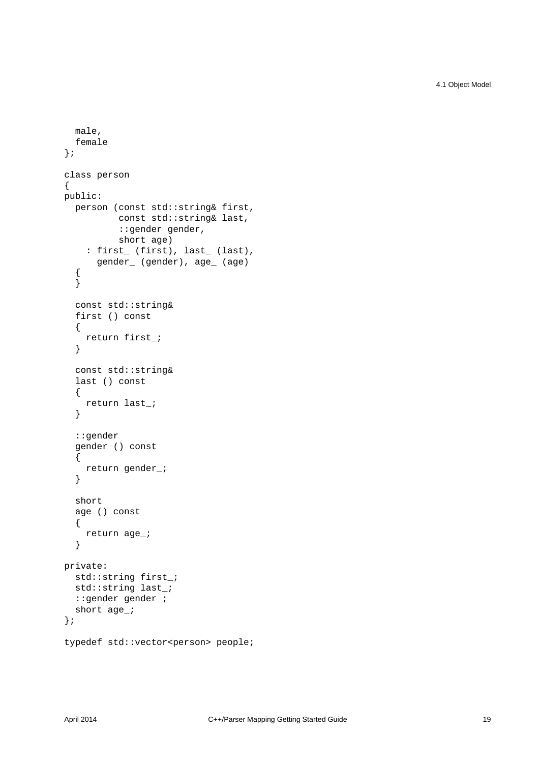4.1 Object Model

```
 male,
   female
};
class person
{
public:
   person (const std::string& first,
            const std::string& last,
            ::gender gender,
            short age)
    : first_ (first), last_ (last),
       gender_ (gender), age_ (age)
   {
   }
   const std::string&
   first () const
   {
     return first_;
   }
   const std::string&
   last () const
   {
     return last_;
   }
   ::gender
   gender () const
   {
     return gender_;
   }
   short
   age () const
   {
     return age_;
   }
private:
  std::string first_;
  std::string last_;
   ::gender gender_;
   short age_;
};
typedef std::vector<person> people;
```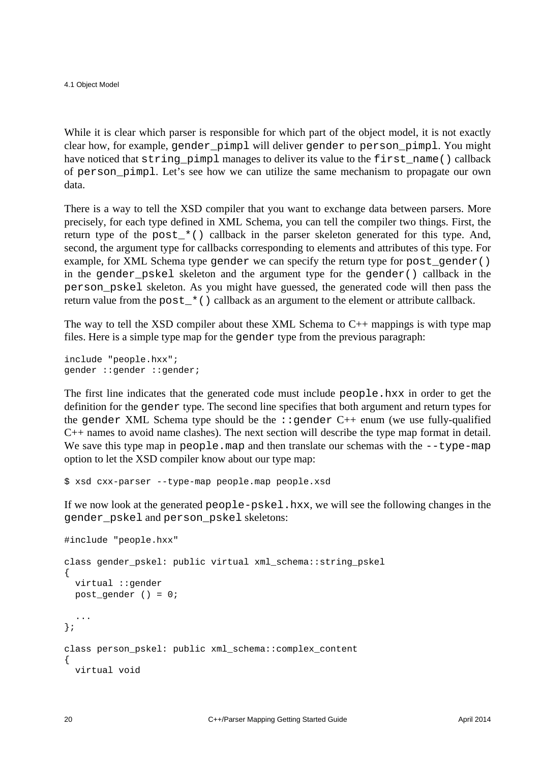4.1 Object Model

While it is clear which parser is responsible for which part of the object model, it is not exactly clear how, for example, gender\_pimpl will deliver gender to person\_pimpl. You might have noticed that string\_pimpl manages to deliver its value to the first\_name() callback of person\_pimpl. Let's see how we can utilize the same mechanism to propagate our own data.

There is a way to tell the XSD compiler that you want to exchange data between parsers. More precisely, for each type defined in XML Schema, you can tell the compiler two things. First, the return type of the post $*$ () callback in the parser skeleton generated for this type. And, second, the argument type for callbacks corresponding to elements and attributes of this type. For example, for XML Schema type gender we can specify the return type for post gender() in the gender pskel skeleton and the argument type for the gender() callback in the person\_pskel skeleton. As you might have guessed, the generated code will then pass the return value from the post  $\star$  () callback as an argument to the element or attribute callback.

The way to tell the XSD compiler about these XML Schema to  $C_{++}$  mappings is with type map files. Here is a simple type map for the gender type from the previous paragraph:

include "people.hxx"; gender ::gender ::gender;

The first line indicates that the generated code must include people.hxx in order to get the definition for the gender type. The second line specifies that both argument and return types for the gender XML Schema type should be the  $\cdot$ :gender C++ enum (we use fully-qualified C++ names to avoid name clashes). The next section will describe the type map format in detail. We save this type map in  $people \cdot \text{map}$  and then translate our schemas with the  $-\text{type-map}$ option to let the XSD compiler know about our type map:

\$ xsd cxx-parser --type-map people.map people.xsd

If we now look at the generated people-pskel.hxx, we will see the following changes in the gender\_pskel and person\_pskel skeletons:

```
#include "people.hxx"
class gender_pskel: public virtual xml_schema::string_pskel
{
  virtual ::gender
  post_gender () = 0;
   ...
};
class person_pskel: public xml_schema::complex_content
{
  virtual void
```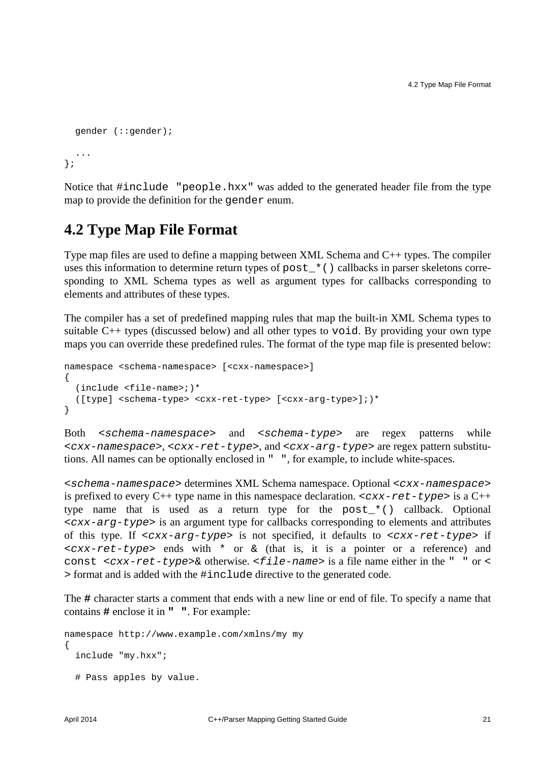```
 gender (::gender);
   ...
};
```
Notice that #include "people.hxx" was added to the generated header file from the type map to provide the definition for the gender enum.

#### <span id="page-24-0"></span>**4.2 Type Map File Format**

Type map files are used to define a mapping between XML Schema and C++ types. The compiler uses this information to determine return types of post\_\*() callbacks in parser skeletons corresponding to XML Schema types as well as argument types for callbacks corresponding to elements and attributes of these types.

The compiler has a set of predefined mapping rules that map the built-in XML Schema types to suitable C++ types (discussed below) and all other types to void. By providing your own type maps you can override these predefined rules. The format of the type map file is presented below:

```
namespace <schema-namespace> [<cxx-namespace>]
{
   (include <file-name>;)*
   ([type] <schema-type> <cxx-ret-type> [<cxx-arg-type>];)*
}
```
Both <schema-namespace> and <schema-type> are regex patterns while  $< cxx$ -namespace>,  $< cxx$ -ret-type>, and  $< cxx$ -arg-type> are regex pattern substitutions. All names can be optionally enclosed in " ", for example, to include white-spaces.

<schema-namespace> determines XML Schema namespace. Optional <cxx-namespace> is prefixed to every C++ type name in this namespace declaration.  $< cxx - ret - type >$  is a C++ type name that is used as a return type for the post\_\*() callback. Optional <cxx-arg-type> is an argument type for callbacks corresponding to elements and attributes of this type. If  $< cxx - arg - type >$  is not specified, it defaults to  $< cxx - ret - type >$  if <cxx-ret-type> ends with \* or & (that is, it is a pointer or a reference) and const  $\langle cxx-ret-type\rangle$  otherwise.  $\langle file-name\rangle$  is a file name either in the " " or  $\langle$ > format and is added with the #include directive to the generated code.

The **#** character starts a comment that ends with a new line or end of file. To specify a name that contains **#** enclose it in **" "**. For example:

```
namespace http://www.example.com/xmlns/my my
{
   include "my.hxx";
   # Pass apples by value.
```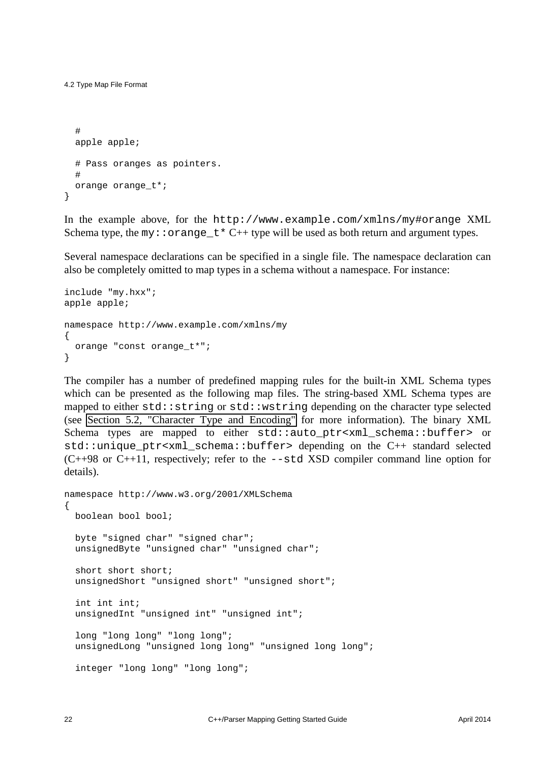4.2 Type Map File Format

```
 #
   apple apple;
   # Pass oranges as pointers.
   #
   orange orange_t*;
}
```
In the example above, for the http://www.example.com/xmlns/my#orange XML Schema type, the my:: $\circ$ range\_t\* C++ type will be used as both return and argument types.

Several namespace declarations can be specified in a single file. The namespace declaration can also be completely omitted to map types in a schema without a namespace. For instance:

```
include "my.hxx";
apple apple;
namespace http://www.example.com/xmlns/my
{
 orange "const orange t*";
}
```
The compiler has a number of predefined mapping rules for the built-in XML Schema types which can be presented as the following map files. The string-based XML Schema types are mapped to either std::string or std::wstring depending on the character type selected (see [Section 5.2, "Character Type and Encoding"](#page-31-0) for more information). The binary XML Schema types are mapped to either std::auto ptr<xml schema::buffer> or std::unique\_ptr<xml\_schema::buffer> depending on the C++ standard selected  $(C++98$  or  $C++11$ , respectively; refer to the  $--$ std XSD compiler command line option for details).

```
namespace http://www.w3.org/2001/XMLSchema
{
   boolean bool bool;
  byte "signed char" "signed char";
   unsignedByte "unsigned char" "unsigned char";
  short short;
   unsignedShort "unsigned short" "unsigned short";
   int int int;
   unsignedInt "unsigned int" "unsigned int";
   long "long long" "long long";
   unsignedLong "unsigned long long" "unsigned long long";
   integer "long long" "long long";
```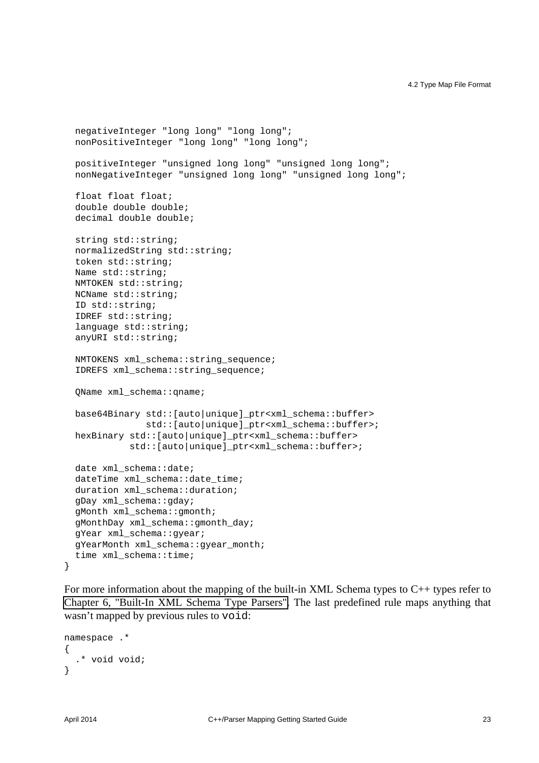```
 negativeInteger "long long" "long long";
 nonPositiveInteger "long long" "long long";
 positiveInteger "unsigned long long" "unsigned long long";
 nonNegativeInteger "unsigned long long" "unsigned long long";
 float float float;
 double double double;
 decimal double double;
 string std::string;
 normalizedString std::string;
 token std::string;
 Name std::string;
 NMTOKEN std::string;
 NCName std::string;
 ID std::string;
 IDREF std::string;
language std::string;
 anyURI std::string;
 NMTOKENS xml_schema::string_sequence;
 IDREFS xml_schema::string_sequence;
 QName xml_schema::qname;
 base64Binary std::[auto|unique]_ptr<xml_schema::buffer>
              std::[auto|unique]_ptr<xml_schema::buffer>;
 hexBinary std::[auto|unique]_ptr<xml_schema::buffer>
           std::[auto|unique]_ptr<xml_schema::buffer>;
 date xml_schema::date;
 dateTime xml_schema::date_time;
 duration xml_schema::duration;
 gDay xml_schema::gday;
 gMonth xml_schema::gmonth;
 gMonthDay xml_schema::gmonth_day;
 gYear xml_schema::gyear;
 gYearMonth xml_schema::gyear_month;
 time xml_schema::time;
```
For more information about the mapping of the built-in XML Schema types to C++ types refer to [Chapter 6, "Built-In XML Schema Type Parsers".](#page-38-0) The last predefined rule maps anything that wasn't mapped by previous rules to void:

```
namespace .*
{
   .* void void;
}
```
}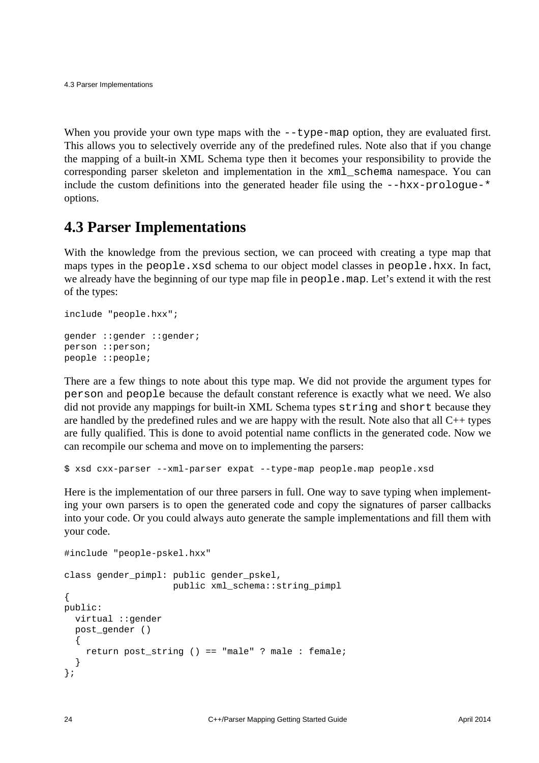When you provide your own type maps with the  $-\text{type-map}$  option, they are evaluated first. This allows you to selectively override any of the predefined rules. Note also that if you change the mapping of a built-in XML Schema type then it becomes your responsibility to provide the corresponding parser skeleton and implementation in the xml\_schema namespace. You can include the custom definitions into the generated header file using the  $-\hbox{-}\hbar x - \hbox{-}\hbar x$ -prologue-\* options.

#### <span id="page-27-0"></span>**4.3 Parser Implementations**

With the knowledge from the previous section, we can proceed with creating a type map that maps types in the people.xsd schema to our object model classes in people.hxx. In fact, we already have the beginning of our type map file in people.map. Let's extend it with the rest of the types:

```
include "people.hxx";
gender ::gender ::gender;
person ::person;
people ::people;
```
There are a few things to note about this type map. We did not provide the argument types for person and people because the default constant reference is exactly what we need. We also did not provide any mappings for built-in XML Schema types string and short because they are handled by the predefined rules and we are happy with the result. Note also that all C++ types are fully qualified. This is done to avoid potential name conflicts in the generated code. Now we can recompile our schema and move on to implementing the parsers:

\$ xsd cxx-parser --xml-parser expat --type-map people.map people.xsd

Here is the implementation of our three parsers in full. One way to save typing when implementing your own parsers is to open the generated code and copy the signatures of parser callbacks into your code. Or you could always auto generate the sample implementations and fill them with your code.

```
#include "people-pskel.hxx"
class gender_pimpl: public gender_pskel,
                     public xml_schema::string_pimpl
{
public:
  virtual ::gender
  post_gender ()
\{ return post_string () == "male" ? male : female;
   }
};
```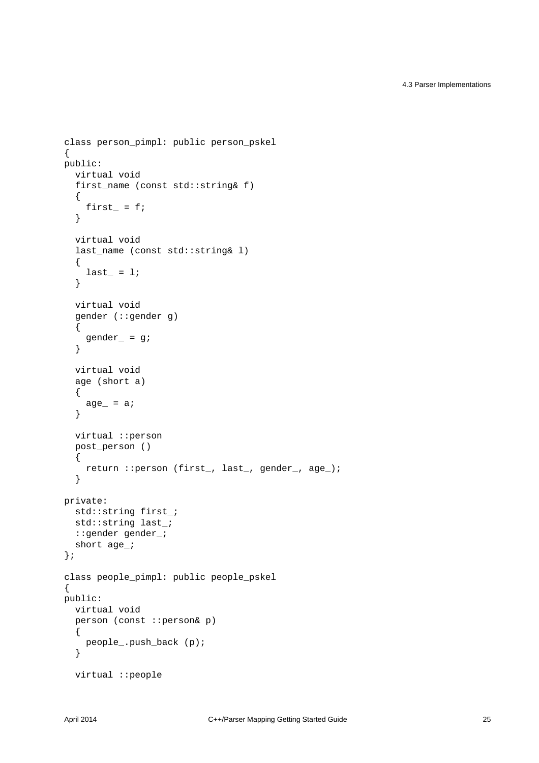```
class person_pimpl: public person_pskel
{
public:
   virtual void
  first name (const std::string& f)
   {
    first_ = fi }
   virtual void
   last_name (const std::string& l)
   {
    last_ = 1; }
   virtual void
   gender (::gender g)
   {
    gender_ = g;
   }
   virtual void
   age (short a)
   {
   age_ = a; }
   virtual ::person
   post_person ()
   {
     return ::person (first_, last_, gender_, age_);
   }
private:
  std::string first_;
   std::string last_;
   ::gender gender_;
  short age_;
};
class people_pimpl: public people_pskel
{
public:
  virtual void
   person (const ::person& p)
  \left\{ \right. people_.push_back (p);
   }
   virtual ::people
```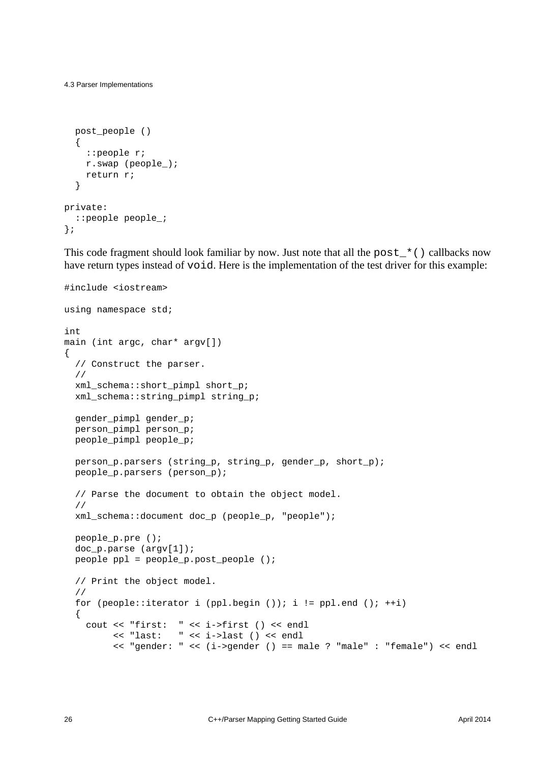```
 post_people ()
   {
     ::people r;
     r.swap (people_);
     return r;
   }
private:
   ::people people_;
};
```
This code fragment should look familiar by now. Just note that all the post\_\*() callbacks now have return types instead of void. Here is the implementation of the test driver for this example:

```
#include <iostream>
using namespace std;
int
main (int argc, char* argv[])
{
  // Construct the parser.
   //
  xml_schema::short_pimpl short_p;
  xml_schema::string_pimpl string_p;
  gender_pimpl gender_p;
  person_pimpl person_p;
  people_pimpl people_p;
  person_p.parsers (string_p, string_p, gender_p, short_p);
  people_p.parsers (person_p);
   // Parse the document to obtain the object model.
   //
  xml_schema::document doc_p (people_p, "people");
  people_p.pre ();
   doc_p.parse (argv[1]);
  people ppl = people_p.post_people ();
   // Print the object model.
   //
  for (people::iterator i (ppl.begin ()); i != ppl.end (); ++i)
   {
     cout << "first: " << i->first () << endl
          << "last: " << i->last () << endl
          << "gender: " << (i->gender () == male ? "male" : "female") << endl
```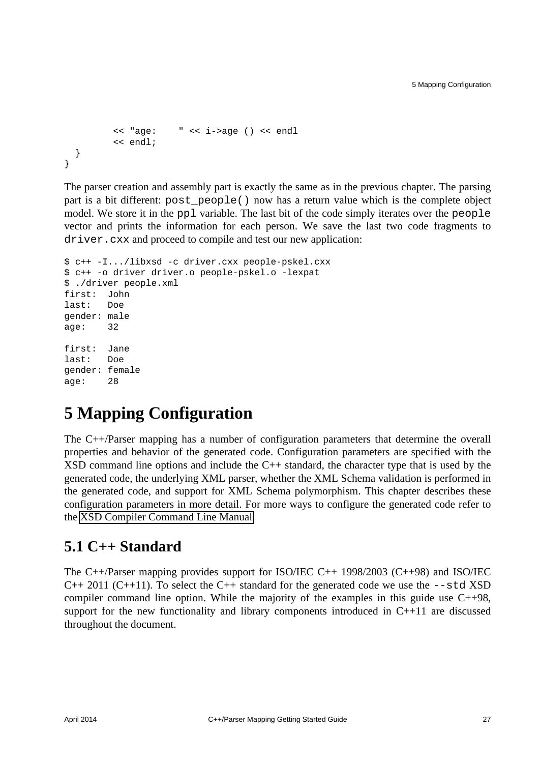```
 << "age: " << i->age () << endl
          << endl;
   }
}
```
The parser creation and assembly part is exactly the same as in the previous chapter. The parsing part is a bit different: post\_people() now has a return value which is the complete object model. We store it in the ppl variable. The last bit of the code simply iterates over the people vector and prints the information for each person. We save the last two code fragments to driver. cxx and proceed to compile and test our new application:

```
$ c++ -I.../libxsd -c driver.cxx people-pskel.cxx
$ c++ -o driver driver.o people-pskel.o -lexpat
$ ./driver people.xml
first: John
last: Doe
gender: male
age: 32
first: Jane
last: Doe
gender: female
age: 28
```
### <span id="page-30-0"></span>**5 Mapping Configuration**

The C++/Parser mapping has a number of configuration parameters that determine the overall properties and behavior of the generated code. Configuration parameters are specified with the XSD command line options and include the C++ standard, the character type that is used by the generated code, the underlying XML parser, whether the XML Schema validation is performed in the generated code, and support for XML Schema polymorphism. This chapter describes these configuration parameters in more detail. For more ways to configure the generated code refer to the [XSD Compiler Command Line Manual.](http://www.codesynthesis.com/projects/xsd/documentation/xsd.xhtml)

#### <span id="page-30-1"></span>**5.1 C++ Standard**

The C++/Parser mapping provides support for ISO/IEC C++ 1998/2003 (C++98) and ISO/IEC  $C_{++}$  2011 ( $C_{++}$ 11). To select the  $C_{++}$  standard for the generated code we use the  $--$ std XSD compiler command line option. While the majority of the examples in this guide use  $C++98$ , support for the new functionality and library components introduced in C++11 are discussed throughout the document.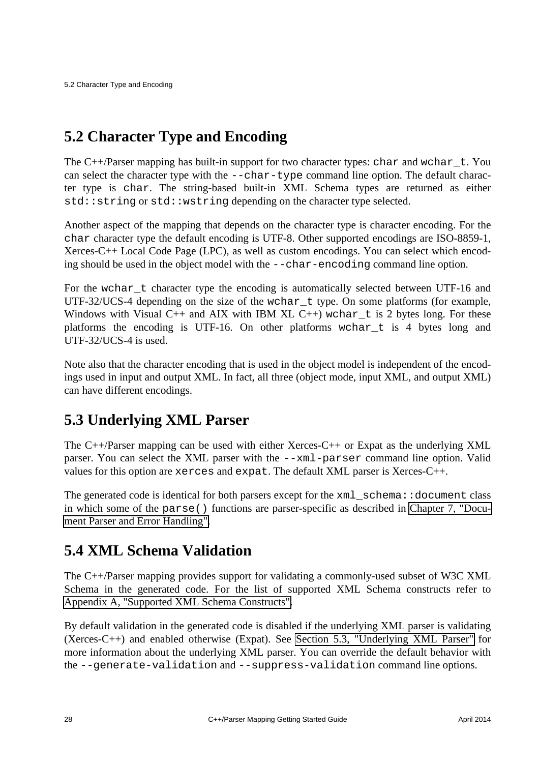### <span id="page-31-0"></span>**5.2 Character Type and Encoding**

The  $C++/Parser$  mapping has built-in support for two character types: char and wchar  $_t$ . You can select the character type with the --char-type command line option. The default character type is char. The string-based built-in XML Schema types are returned as either std::string or std::wstring depending on the character type selected.

Another aspect of the mapping that depends on the character type is character encoding. For the char character type the default encoding is UTF-8. Other supported encodings are ISO-8859-1, Xerces-C++ Local Code Page (LPC), as well as custom encodings. You can select which encoding should be used in the object model with the --char-encoding command line option.

For the wchar t character type the encoding is automatically selected between UTF-16 and UTF-32/UCS-4 depending on the size of the wchar\_t type. On some platforms (for example, Windows with Visual C++ and AIX with IBM XL C++) wchar t is 2 bytes long. For these platforms the encoding is UTF-16. On other platforms wchar\_t is 4 bytes long and UTF-32/UCS-4 is used.

Note also that the character encoding that is used in the object model is independent of the encodings used in input and output XML. In fact, all three (object mode, input XML, and output XML) can have different encodings.

### <span id="page-31-1"></span>**5.3 Underlying XML Parser**

The C++/Parser mapping can be used with either Xerces-C++ or Expat as the underlying XML parser. You can select the XML parser with the --xml-parser command line option. Valid values for this option are xerces and expat. The default XML parser is Xerces-C++.

The generated code is identical for both parsers except for the  $xml$  schema::document class in which some of the parse() functions are parser-specific as described in [Chapter 7, "Docu](#page-53-0)[ment Parser and Error Handling".](#page-53-0)

#### <span id="page-31-2"></span>**5.4 XML Schema Validation**

The C++/Parser mapping provides support for validating a commonly-used subset of W3C XML Schema in the generated code. For the list of supported XML Schema constructs refer to [Appendix A, "Supported XML Schema Constructs".](#page-66-0)

By default validation in the generated code is disabled if the underlying XML parser is validating (Xerces-C++) and enabled otherwise (Expat). See [Section 5.3, "Underlying XML Parser"](#page-31-1) for more information about the underlying XML parser. You can override the default behavior with the --generate-validation and --suppress-validation command line options.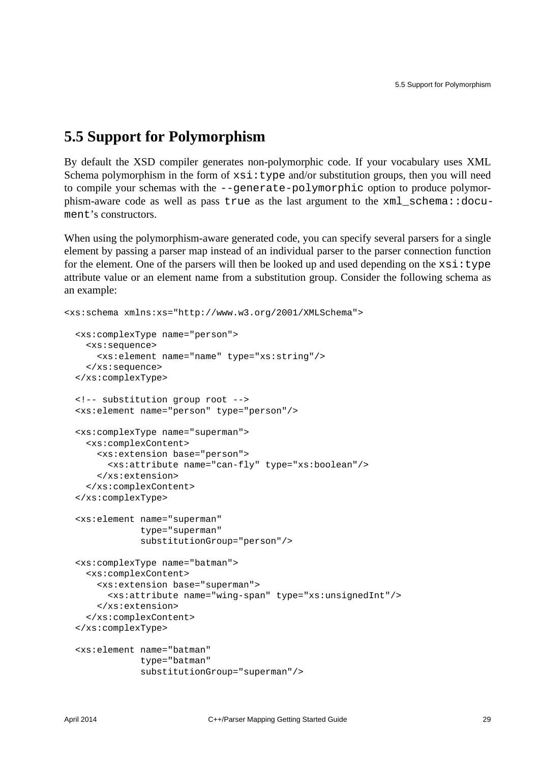#### <span id="page-32-0"></span>**5.5 Support for Polymorphism**

By default the XSD compiler generates non-polymorphic code. If your vocabulary uses XML Schema polymorphism in the form of  $xsi:type$  and/or substitution groups, then you will need to compile your schemas with the --generate-polymorphic option to produce polymorphism-aware code as well as pass true as the last argument to the xml\_schema::document's constructors.

When using the polymorphism-aware generated code, you can specify several parsers for a single element by passing a parser map instead of an individual parser to the parser connection function for the element. One of the parsers will then be looked up and used depending on the  $xsi:type$ attribute value or an element name from a substitution group. Consider the following schema as an example:

```
<xs:schema xmlns:xs="http://www.w3.org/2001/XMLSchema">
  <xs:complexType name="person">
     <xs:sequence>
       <xs:element name="name" type="xs:string"/>
    </xs:sequence>
   </xs:complexType>
  <!-- substitution group root -->
   <xs:element name="person" type="person"/>
  <xs:complexType name="superman">
     <xs:complexContent>
       <xs:extension base="person">
         <xs:attribute name="can-fly" type="xs:boolean"/>
       </xs:extension>
     </xs:complexContent>
   </xs:complexType>
   <xs:element name="superman"
              type="superman"
               substitutionGroup="person"/>
   <xs:complexType name="batman">
     <xs:complexContent>
       <xs:extension base="superman">
         <xs:attribute name="wing-span" type="xs:unsignedInt"/>
       </xs:extension>
     </xs:complexContent>
   </xs:complexType>
   <xs:element name="batman"
               type="batman"
               substitutionGroup="superman"/>
```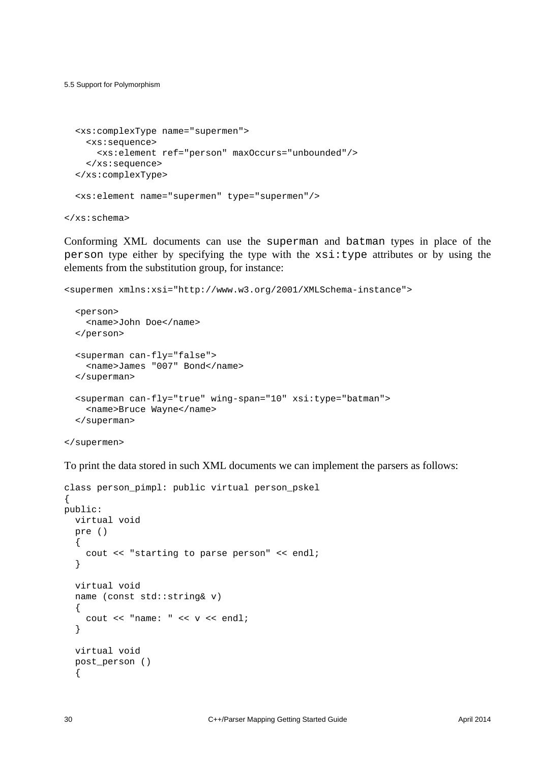5.5 Support for Polymorphism

```
 <xs:complexType name="supermen">
  <xs:sequence>
    <xs:element ref="person" maxOccurs="unbounded"/>
  </xs:sequence>
 </xs:complexType>
 <xs:element name="supermen" type="supermen"/>
```
</xs:schema>

Conforming XML documents can use the superman and batman types in place of the person type either by specifying the type with the  $xsi:type$  attributes or by using the elements from the substitution group, for instance:

```
<supermen xmlns:xsi="http://www.w3.org/2001/XMLSchema-instance">
   <person>
    <name>John Doe</name>
   </person>
   <superman can-fly="false">
     <name>James "007" Bond</name>
   </superman>
   <superman can-fly="true" wing-span="10" xsi:type="batman">
     <name>Bruce Wayne</name>
   </superman>
```

```
</supermen>
```
To print the data stored in such XML documents we can implement the parsers as follows:

```
class person pimpl: public virtual person pskel
{
public:
   virtual void
   pre ()
   {
     cout << "starting to parse person" << endl;
   }
   virtual void
   name (const std::string& v)
   {
    cout \lt\lt "name: " \lt\lt v \lt\lt endl;
   }
   virtual void
   post_person ()
   {
```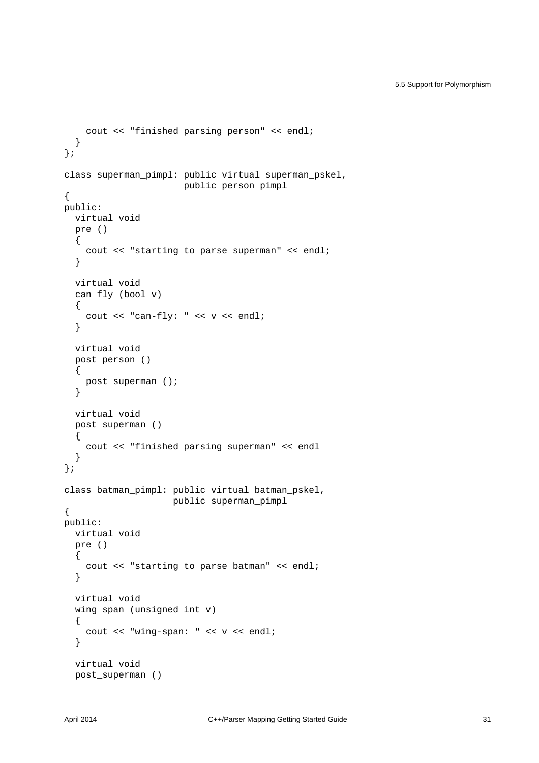```
 cout << "finished parsing person" << endl;
   }
};
class superman_pimpl: public virtual superman_pskel,
                        public person_pimpl
{
public:
   virtual void
   pre ()
  \{ cout << "starting to parse superman" << endl;
   }
   virtual void
  can fly (bool v)
   {
    cout << "can-fly: " << v << endl;
   }
   virtual void
   post_person ()
   {
    post_superman ();
   }
   virtual void
   post_superman ()
   {
     cout << "finished parsing superman" << endl
   }
};
class batman_pimpl: public virtual batman_pskel,
                      public superman_pimpl
{
public:
   virtual void
   pre ()
  \mathcal{A} cout << "starting to parse batman" << endl;
   }
   virtual void
   wing_span (unsigned int v)
   {
    cout << "wing-span: " << v << endl;
   }
   virtual void
   post_superman ()
```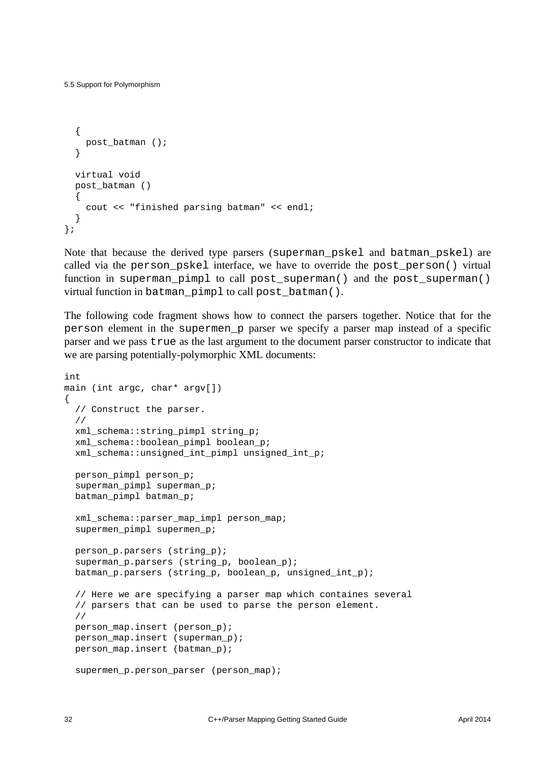```
 {
    post batman ();
   }
  virtual void
  post_batman ()
 {
     cout << "finished parsing batman" << endl;
 }
};
```
Note that because the derived type parsers (superman\_pskel and batman\_pskel) are called via the person\_pskel interface, we have to override the post\_person() virtual function in superman\_pimpl to call post\_superman() and the post\_superman() virtual function in batman\_pimpl to call post\_batman().

The following code fragment shows how to connect the parsers together. Notice that for the person element in the supermen\_p parser we specify a parser map instead of a specific parser and we pass true as the last argument to the document parser constructor to indicate that we are parsing potentially-polymorphic XML documents:

```
int
main (int argc, char* argv[])
{
  // Construct the parser.
   //
  xml_schema::string_pimpl string_p;
  xml schema::boolean pimpl boolean p;
  xml schema::unsigned int pimpl unsigned int p;
  person_pimpl person_p;
  superman pimpl superman p;
   batman_pimpl batman_p;
   xml_schema::parser_map_impl person_map;
   supermen_pimpl supermen_p;
  person p.parsers (string p);
  superman p.parsers (string p, boolean p);
  batman_p.parsers (string_p, boolean_p, unsigned_int_p);
   // Here we are specifying a parser map which containes several
   // parsers that can be used to parse the person element.
   //
   person_map.insert (person_p);
   person_map.insert (superman_p);
  person_map.insert (batman_p);
   supermen_p.person_parser (person_map);
```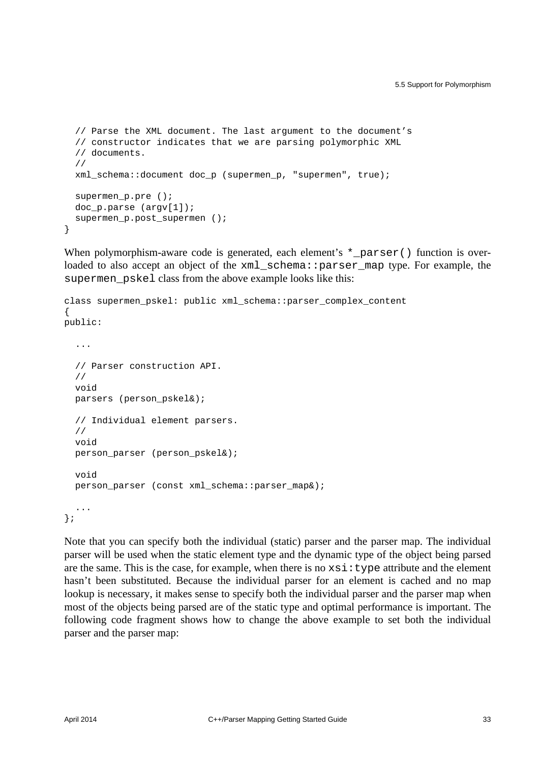```
 // Parse the XML document. The last argument to the document's
 // constructor indicates that we are parsing polymorphic XML
 // documents.
 //
 xml_schema::document doc_p (supermen_p, "supermen", true);
 supermen_p.pre ();
 doc_p.parse (argv[1]);
supermen p.post supermen ();
```
When polymorphism-aware code is generated, each element's  $*$  parser() function is overloaded to also accept an object of the xml\_schema::parser\_map type. For example, the supermen\_pskel class from the above example looks like this:

```
class supermen_pskel: public xml_schema::parser_complex_content
{
public:
   ...
   // Parser construction API.
   //
   void
   parsers (person_pskel&);
   // Individual element parsers.
   //
   void
   person_parser (person_pskel&);
   void
   person_parser (const xml_schema::parser_map&);
   ...
};
```
Note that you can specify both the individual (static) parser and the parser map. The individual parser will be used when the static element type and the dynamic type of the object being parsed are the same. This is the case, for example, when there is no  $xsi : type$  attribute and the element hasn't been substituted. Because the individual parser for an element is cached and no map lookup is necessary, it makes sense to specify both the individual parser and the parser map when most of the objects being parsed are of the static type and optimal performance is important. The following code fragment shows how to change the above example to set both the individual parser and the parser map:

}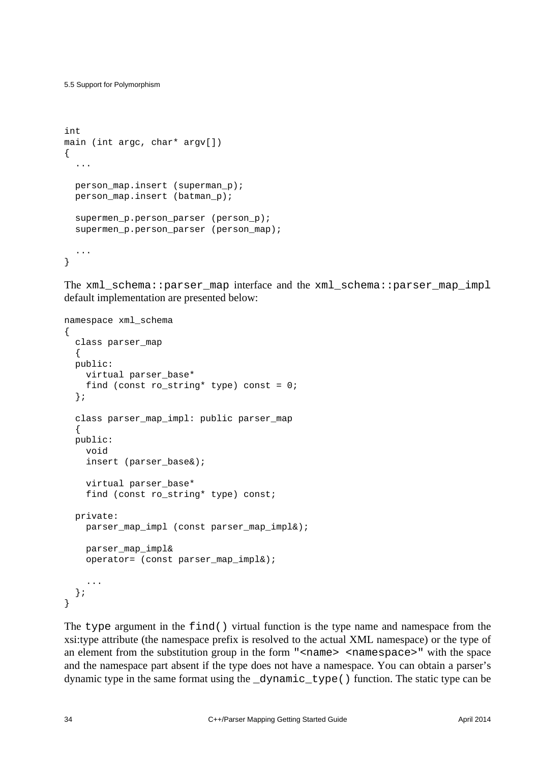5.5 Support for Polymorphism

```
int
main (int argc, char* argv[])
{
   ...
 person map.insert (superman p);
 person map.insert (batman p);
  supermen p.person parser (person p);
  supermen p.person parser (person map);
   ...
}
```
The xml\_schema::parser\_map interface and the xml\_schema::parser\_map\_impl default implementation are presented below:

```
namespace xml_schema
{
   class parser_map
   {
   public:
     virtual parser_base*
    find (const ro_string* type) const = 0;
   };
   class parser_map_impl: public parser_map
   {
   public:
     void
     insert (parser_base&);
     virtual parser_base*
     find (const ro_string* type) const;
   private:
     parser_map_impl (const parser_map_impl&);
     parser_map_impl&
     operator= (const parser_map_impl&);
     ...
   };
}
```
The type argument in the find() virtual function is the type name and namespace from the xsi:type attribute (the namespace prefix is resolved to the actual XML namespace) or the type of an element from the substitution group in the form "<name> <namespace>" with the space and the namespace part absent if the type does not have a namespace. You can obtain a parser's dynamic type in the same format using the \_dynamic\_type() function. The static type can be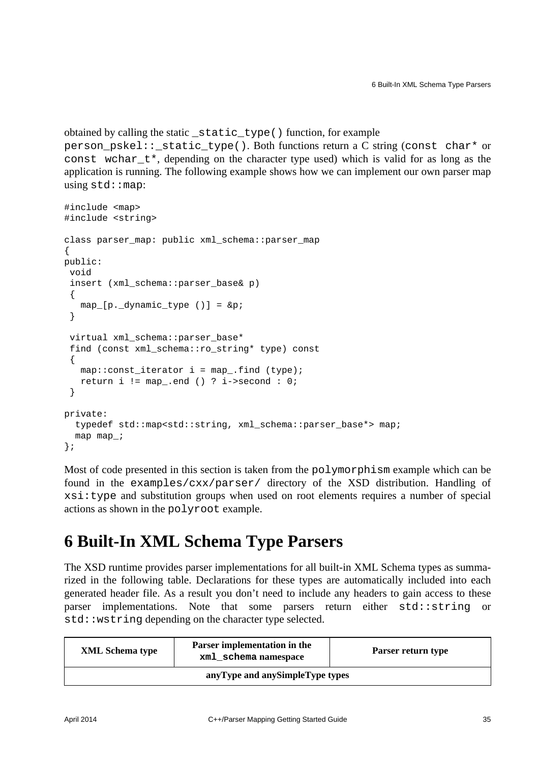```
obtained by calling the static _static_type() function, for example 
person_pskel::_static_type(). Both functions return a C string (const char* or 
const wchar_t*, depending on the character type used) which is valid for as long as the 
application is running. The following example shows how we can implement our own parser map
using std::map:
```

```
#include <map>
#include <string>
class parser_map: public xml_schema::parser_map
{
public:
  void
 insert (xml_schema::parser_base& p)
 {
   map_{[p,\underline{d}ynamic_{ype} ()] = \π }
  virtual xml_schema::parser_base*
 find (const xml schema::ro string* type) const
 {
   map::const\_iterator i = map\_find (type);
    return i != map_.end () ? i->second : 0;
  }
private:
   typedef std::map<std::string, xml_schema::parser_base*> map;
   map map_;
};
```
Most of code presented in this section is taken from the polymorphism example which can be found in the examples/cxx/parser/ directory of the XSD distribution. Handling of xsi:type and substitution groups when used on root elements requires a number of special actions as shown in the polyroot example.

### <span id="page-38-0"></span>**6 Built-In XML Schema Type Parsers**

The XSD runtime provides parser implementations for all built-in XML Schema types as summarized in the following table. Declarations for these types are automatically included into each generated header file. As a result you don't need to include any headers to gain access to these parser implementations. Note that some parsers return either std::string or std::wstring depending on the character type selected.

| <b>XML</b> Schema type          | Parser implementation in the<br>xml schema namespace | Parser return type |  |
|---------------------------------|------------------------------------------------------|--------------------|--|
| anyType and anySimpleType types |                                                      |                    |  |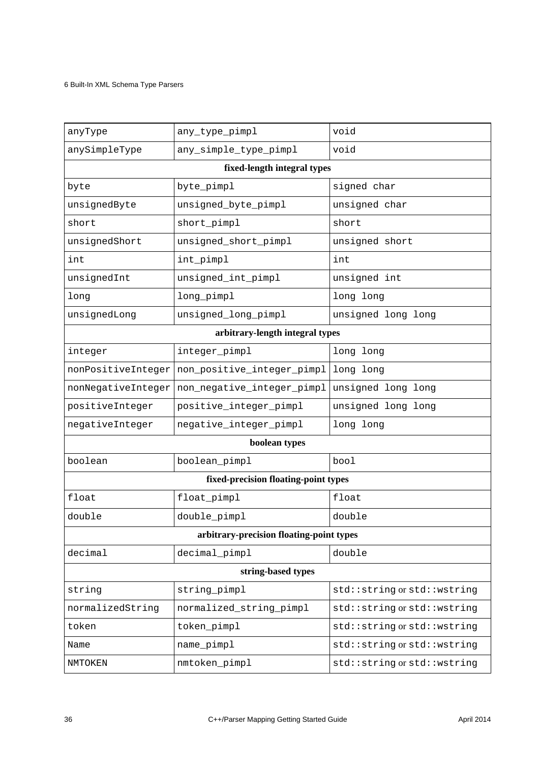#### 6 Built-In XML Schema Type Parsers

| anyType                              | any_type_pimpl                           | void                        |  |  |  |  |
|--------------------------------------|------------------------------------------|-----------------------------|--|--|--|--|
| anySimpleType                        | any_simple_type_pimpl                    | void                        |  |  |  |  |
|                                      | fixed-length integral types              |                             |  |  |  |  |
| byte                                 | byte_pimpl                               | signed char                 |  |  |  |  |
| unsignedByte                         | unsigned_byte_pimpl                      | unsigned char               |  |  |  |  |
| short                                | short_pimpl                              | short                       |  |  |  |  |
| unsignedShort                        | unsigned_short_pimpl                     | unsigned short              |  |  |  |  |
| int                                  | int_pimpl                                | int                         |  |  |  |  |
| unsignedInt                          | unsigned_int_pimpl                       | unsigned int                |  |  |  |  |
| long                                 | long_pimpl                               | long long                   |  |  |  |  |
| unsignedLong                         | unsigned_long_pimpl                      | unsigned long long          |  |  |  |  |
|                                      | arbitrary-length integral types          |                             |  |  |  |  |
| integer                              | integer_pimpl                            | long long                   |  |  |  |  |
| nonPositiveInteger                   | non_positive_integer_pimpl long long     |                             |  |  |  |  |
| nonNegativeInteger                   | non_negative_integer_pimpl               | unsigned long long          |  |  |  |  |
| positiveInteger                      | positive_integer_pimpl                   | unsigned long long          |  |  |  |  |
| negativeInteger                      | negative_integer_pimpl                   | long long                   |  |  |  |  |
| boolean types                        |                                          |                             |  |  |  |  |
| boolean                              | boolean_pimpl                            | bool                        |  |  |  |  |
| fixed-precision floating-point types |                                          |                             |  |  |  |  |
| float                                | float_pimpl                              | float                       |  |  |  |  |
| double                               | double_pimpl                             | double                      |  |  |  |  |
|                                      | arbitrary-precision floating-point types |                             |  |  |  |  |
| decimal                              | decimal_pimpl                            | double                      |  |  |  |  |
| string-based types                   |                                          |                             |  |  |  |  |
| string                               | string_pimpl                             | std::string or std::wstring |  |  |  |  |
| normalizedString                     | normalized_string_pimpl                  | std::string or std::wstring |  |  |  |  |
| token                                | token_pimpl                              | std::string or std::wstring |  |  |  |  |
| Name                                 | name_pimpl                               | std::string or std::wstring |  |  |  |  |
| NMTOKEN                              | nmtoken_pimpl                            | std::string or std::wstring |  |  |  |  |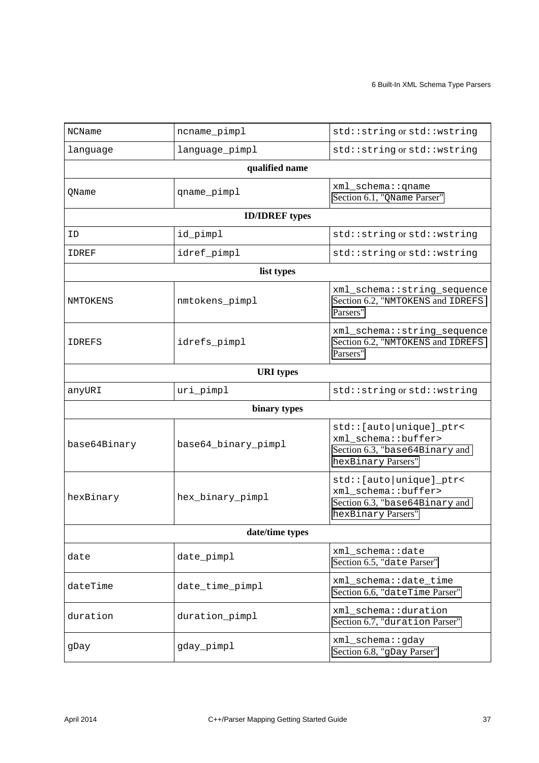| <b>NCName</b> | ncname_pimpl          | std::string or std::wstring                                                                                 |
|---------------|-----------------------|-------------------------------------------------------------------------------------------------------------|
| language      | language_pimpl        | std::string or std::wstring                                                                                 |
|               | qualified name        |                                                                                                             |
| OName         | qname_pimpl           | xml_schema:: qname<br>Section 6.1, "QName Parser"                                                           |
|               | <b>ID/IDREF</b> types |                                                                                                             |
| ID            | id_pimpl              | std::string or std::wstring                                                                                 |
| IDREF         | idref_pimpl           | std::string or std::wstring                                                                                 |
|               | list types            |                                                                                                             |
| NMTOKENS      | nmtokens_pimpl        | xml_schema::string_sequence<br>Section 6.2, "NMTOKENS and IDREFS<br>Parsers"                                |
| <b>IDREFS</b> | idrefs_pimpl          | xml_schema::string_sequence<br>Section 6.2, "NMTOKENS and IDREFS<br>Parsers"                                |
|               | <b>URI</b> types      |                                                                                                             |
| anyURI        | uri_pimpl             | std::string or std::wstring                                                                                 |
|               | binary types          |                                                                                                             |
| base64Binary  | base64_binary_pimpl   | std:: [auto   unique ] _ptr<<br>xml_schema::buffer><br>Section 6.3, "base64Binary and<br>hexBinary Parsers" |
| hexBinary     | hex_binary_pimpl      | std:: [auto   unique ]_ptr<<br>xml_schema::buffer><br>Section 6.3, "base64Binary and<br>hexBinary Parsers"  |
|               | date/time types       |                                                                                                             |
| date          | date_pimpl            | xml_schema::date<br>Section 6.5, "date Parser"                                                              |
| dateTime      | date_time_pimpl       | xml_schema::date_time<br>Section 6.6, "dateTime Parser"                                                     |
| duration      | duration_pimpl        | xml_schema::duration<br>Section 6.7, "duration Parser"                                                      |
| gDay          | gday_pimpl            | xml_schema::gday<br>Section 6.8, "gDay Parser"                                                              |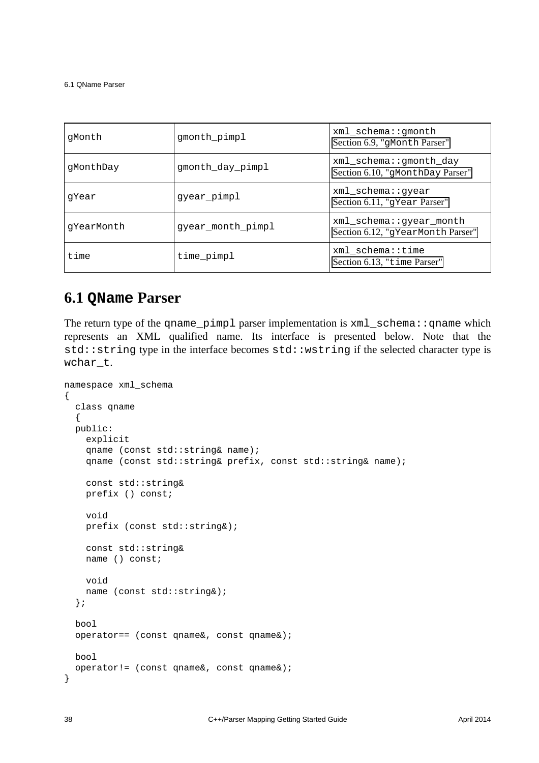6.1 QName Parser

| qMonth     | gmonth_pimpl      | xml schema:: qmonth<br>Section 6.9, "gMonth Parser"          |
|------------|-------------------|--------------------------------------------------------------|
| qMonthDay  | gmonth_day_pimpl  | xml schema::qmonth day<br>Section 6.10, "gMonthDay Parser"   |
| qYear      | gyear_pimpl       | xml schema::qyear<br>Section 6.11, "gYear Parser"            |
| qYearMonth | gyear_month_pimpl | xml_schema::gyear_month<br>Section 6.12, "gYearMonth Parser" |
| time       | time_pimpl        | xml schema::time<br>Section 6.13, "time Parser"              |

#### <span id="page-41-0"></span>**6.1 QName Parser**

The return type of the qname pimpl parser implementation is  $xml$  schema::qname which represents an XML qualified name. Its interface is presented below. Note that the std::string type in the interface becomes std::wstring if the selected character type is wchar\_t.

```
namespace xml_schema
\{ class qname
  \{ public:
     explicit
     qname (const std::string& name);
     qname (const std::string& prefix, const std::string& name);
     const std::string&
     prefix () const;
     void
     prefix (const std::string&);
     const std::string&
     name () const;
     void
     name (const std::string&);
   };
   bool
   operator== (const qname&, const qname&);
   bool
   operator!= (const qname&, const qname&);
}
```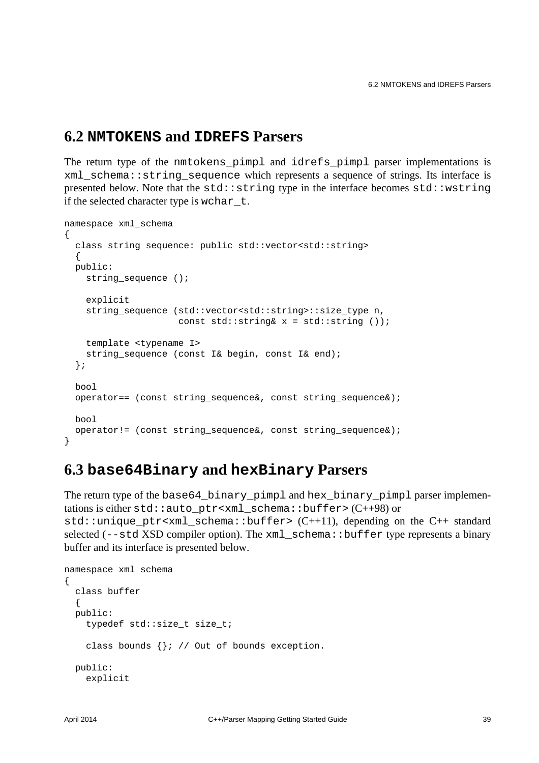#### <span id="page-42-0"></span>**6.2 NMTOKENS and IDREFS Parsers**

The return type of the nmtokens\_pimpl and idrefs\_pimpl parser implementations is xml\_schema::string\_sequence which represents a sequence of strings. Its interface is presented below. Note that the  $std::string$  type in the interface becomes  $std::wstring$ if the selected character type is wchar\_t.

```
namespace xml_schema
{
  class string_sequence: public std::vector<std::string>
   {
  public:
    string_sequence ();
     explicit
    string_sequence (std::vector<std::string>::size_type n,
                     const std::string& x = std::string ();
     template <typename I>
    string sequence (const I& begin, const I& end);
   };
   bool
   operator== (const string_sequence&, const string_sequence&);
  bool
   operator!= (const string_sequence&, const string_sequence&);
}
```
#### <span id="page-42-1"></span>**6.3 base64Binary and hexBinary Parsers**

The return type of the base64\_binary\_pimpl and hex\_binary\_pimpl parser implementations is either std::auto\_ptr<xml\_schema::buffer> (C++98) or std::unique ptr<xml schema::buffer>  $(C+11)$ , depending on the  $C++$  standard selected (--std XSD compiler option). The xml\_schema::buffer type represents a binary buffer and its interface is presented below.

```
namespace xml_schema
{
   class buffer
   {
   public:
     typedef std::size_t size_t;
     class bounds {}; // Out of bounds exception.
   public:
     explicit
```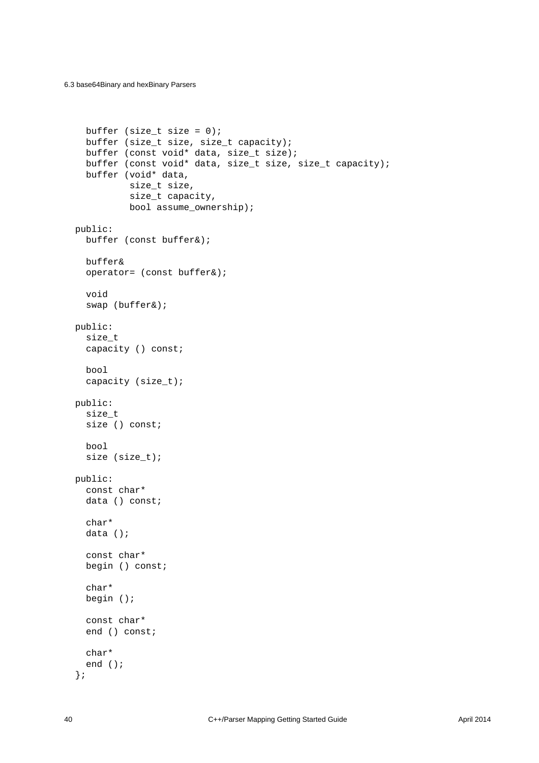```
buffer (size_t size = 0);
   buffer (size_t size, size_t capacity);
   buffer (const void* data, size_t size);
   buffer (const void* data, size_t size, size_t capacity);
   buffer (void* data,
          size t size,
           size_t capacity,
           bool assume_ownership);
 public:
   buffer (const buffer&);
   buffer&
   operator= (const buffer&);
   void
   swap (buffer&);
 public:
   size_t
   capacity () const;
   bool
   capacity (size_t);
 public:
   size_t
   size () const;
   bool
   size (size_t);
 public:
   const char*
   data () const;
   char*
   data ();
   const char*
   begin () const;
   char*
   begin ();
   const char*
   end () const;
   char*
   end ();
 };
```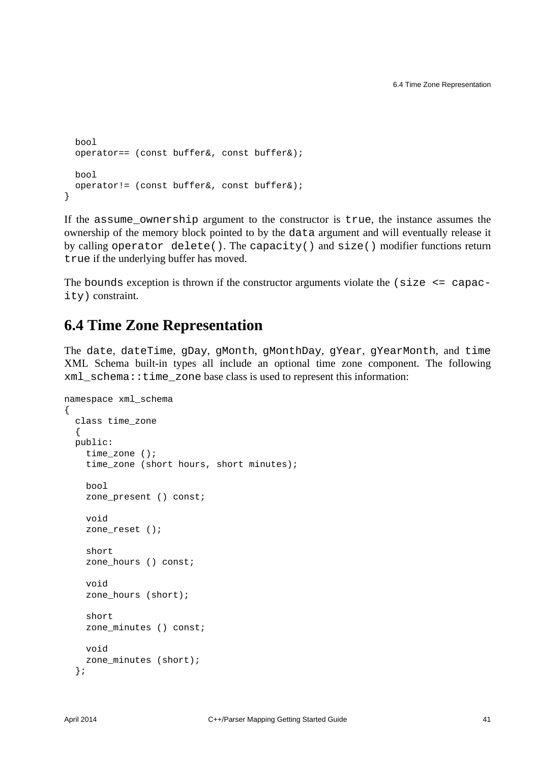```
 bool
  operator== (const buffer&, const buffer&);
  bool
   operator!= (const buffer&, const buffer&);
}
```
If the assume\_ownership argument to the constructor is true, the instance assumes the ownership of the memory block pointed to by the data argument and will eventually release it by calling operator delete(). The capacity() and size() modifier functions return true if the underlying buffer has moved.

The bounds exception is thrown if the constructor arguments violate the  $\langle$  size  $\langle$  = capacity) constraint.

#### <span id="page-44-0"></span>**6.4 Time Zone Representation**

The date, dateTime, gDay, gMonth, gMonthDay, gYear, gYearMonth, and time XML Schema built-in types all include an optional time zone component. The following xml\_schema::time\_zone base class is used to represent this information:

```
namespace xml_schema
{
   class time_zone
   {
   public:
     time_zone ();
     time_zone (short hours, short minutes);
     bool
     zone_present () const;
     void
     zone_reset ();
     short
     zone_hours () const;
     void
    zone hours (short);
     short
     zone_minutes () const;
     void
     zone_minutes (short);
   };
```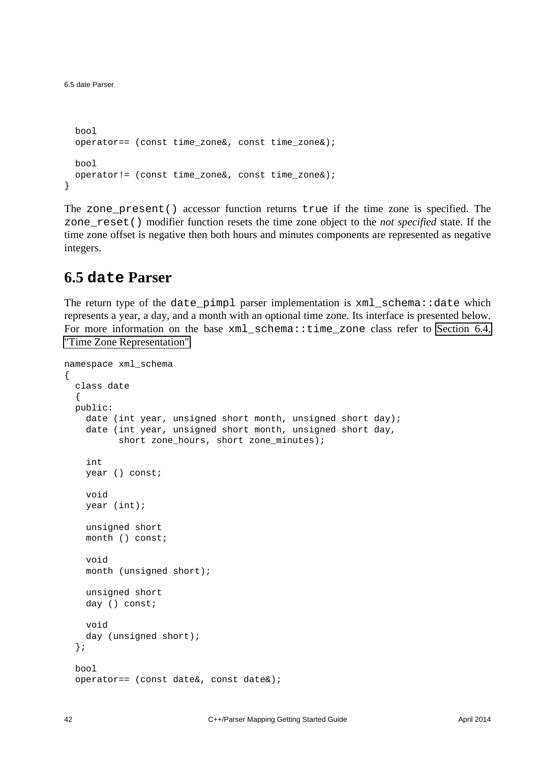```
 bool
 operator== (const time zone&, const time zone&);
  bool
  operator!= (const time_zone&, const time_zone&);
}
```
The zone\_present() accessor function returns true if the time zone is specified. The zone\_reset() modifier function resets the time zone object to the *not specified* state. If the time zone offset is negative then both hours and minutes components are represented as negative integers.

#### <span id="page-45-0"></span>**6.5 date Parser**

The return type of the date\_pimpl parser implementation is xml\_schema::date which represents a year, a day, and a month with an optional time zone. Its interface is presented below. For more information on the base xml\_schema::time\_zone class refer to [Section 6.4,](#page-44-0) ["Time Zone Representation".](#page-44-0)

```
namespace xml_schema
{
   class date
 {
   public:
     date (int year, unsigned short month, unsigned short day);
     date (int year, unsigned short month, unsigned short day,
          short zone hours, short zone minutes);
     int
     year () const;
     void
     year (int);
     unsigned short
     month () const;
     void
     month (unsigned short);
     unsigned short
     day () const;
     void
    day (unsigned short);
   };
   bool
   operator== (const date&, const date&);
```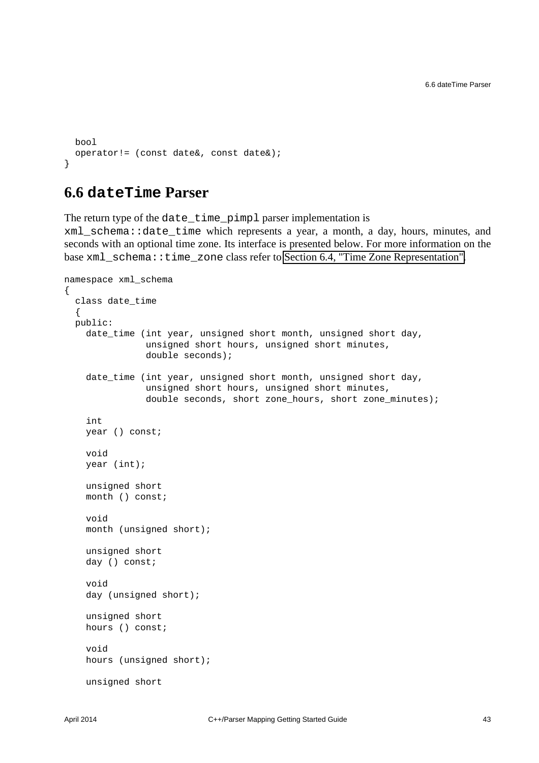```
 bool
  operator!= (const date&, const date&);
}
```
#### <span id="page-46-0"></span>**6.6 dateTime Parser**

The return type of the date\_time\_pimpl parser implementation is xml\_schema::date\_time which represents a year, a month, a day, hours, minutes, and seconds with an optional time zone. Its interface is presented below. For more information on the base xml\_schema::time\_zone class refer to [Section 6.4, "Time Zone Representation".](#page-44-0)

```
namespace xml_schema
{
   class date_time
   {
   public:
     date_time (int year, unsigned short month, unsigned short day,
                 unsigned short hours, unsigned short minutes,
                 double seconds);
     date_time (int year, unsigned short month, unsigned short day,
                 unsigned short hours, unsigned short minutes,
                 double seconds, short zone_hours, short zone_minutes);
     int
     year () const;
     void
     year (int);
     unsigned short
     month () const;
     void
     month (unsigned short);
     unsigned short
     day () const;
     void
     day (unsigned short);
     unsigned short
     hours () const;
     void
     hours (unsigned short);
     unsigned short
```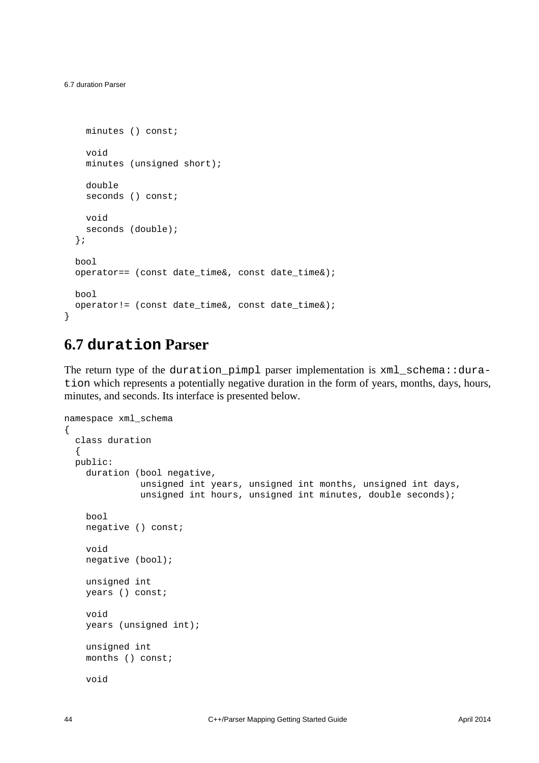```
 minutes () const;
     void
    minutes (unsigned short);
    double
   seconds () const;
    void
    seconds (double);
   };
  bool
  operator== (const date_time&, const date_time&);
  bool
  operator!= (const date time&, const date time&);
}
```
#### <span id="page-47-0"></span>**6.7 duration Parser**

The return type of the duration\_pimpl parser implementation is xml\_schema::duration which represents a potentially negative duration in the form of years, months, days, hours, minutes, and seconds. Its interface is presented below.

```
namespace xml_schema
{
   class duration
   {
   public:
    duration (bool negative,
                unsigned int years, unsigned int months, unsigned int days,
               unsigned int hours, unsigned int minutes, double seconds);
     bool
     negative () const;
     void
     negative (bool);
     unsigned int
     years () const;
     void
     years (unsigned int);
     unsigned int
     months () const;
     void
```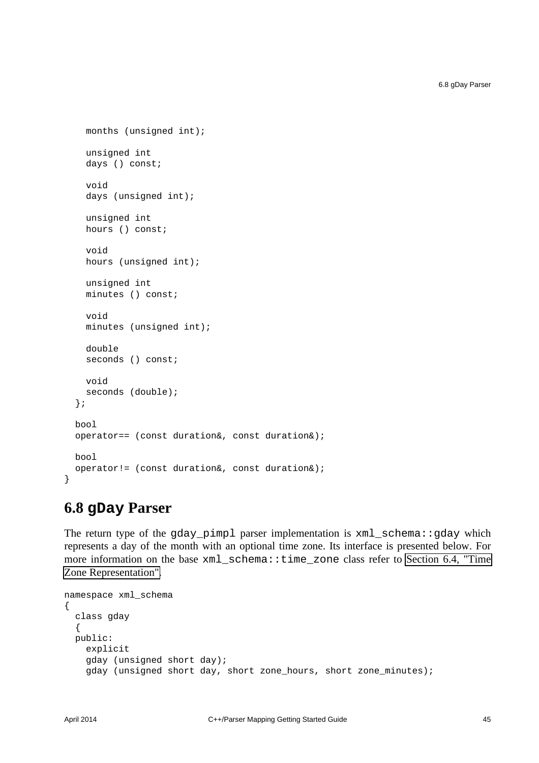```
 months (unsigned int);
     unsigned int
    days () const;
     void
     days (unsigned int);
     unsigned int
     hours () const;
     void
    hours (unsigned int);
     unsigned int
     minutes () const;
     void
     minutes (unsigned int);
     double
    seconds () const;
     void
    seconds (double);
   };
  bool
   operator== (const duration&, const duration&);
  bool
   operator!= (const duration&, const duration&);
}
```
#### <span id="page-48-0"></span>**6.8 gDay Parser**

The return type of the gday\_pimpl parser implementation is xml\_schema::gday which represents a day of the month with an optional time zone. Its interface is presented below. For more information on the base xml\_schema::time\_zone class refer to [Section 6.4, "Time](#page-44-0) [Zone Representation".](#page-44-0)

```
namespace xml_schema
{
   class gday
   {
   public:
     explicit
     gday (unsigned short day);
     gday (unsigned short day, short zone_hours, short zone_minutes);
```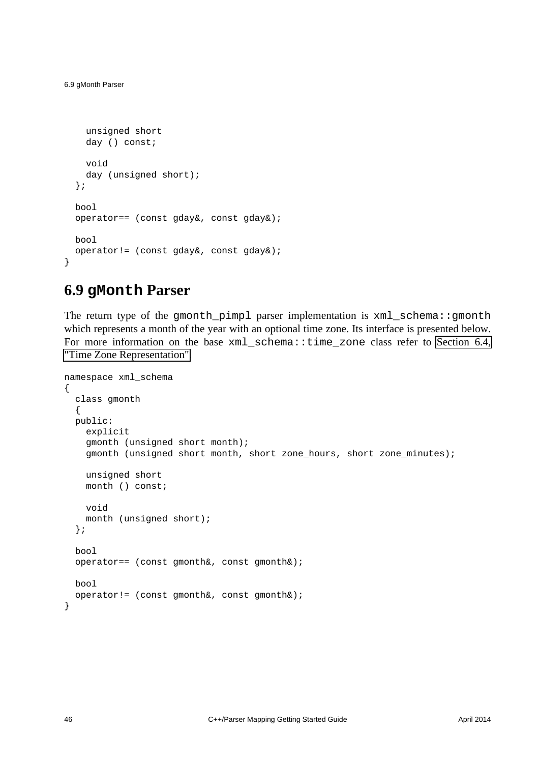```
 unsigned short
     day () const;
     void
     day (unsigned short);
   };
  bool
   operator== (const gday&, const gday&);
  bool
   operator!= (const gday&, const gday&);
}
```
#### <span id="page-49-0"></span>**6.9 gMonth Parser**

The return type of the gmonth\_pimpl parser implementation is xml\_schema::gmonth which represents a month of the year with an optional time zone. Its interface is presented below. For more information on the base xml schema::time zone class refer to [Section 6.4,](#page-44-0) ["Time Zone Representation".](#page-44-0)

```
namespace xml_schema
\{ class gmonth
   {
   public:
     explicit
     gmonth (unsigned short month);
     gmonth (unsigned short month, short zone_hours, short zone_minutes);
     unsigned short
    month () const;
     void
     month (unsigned short);
   };
   bool
   operator== (const gmonth&, const gmonth&);
   bool
   operator!= (const gmonth&, const gmonth&);
}
```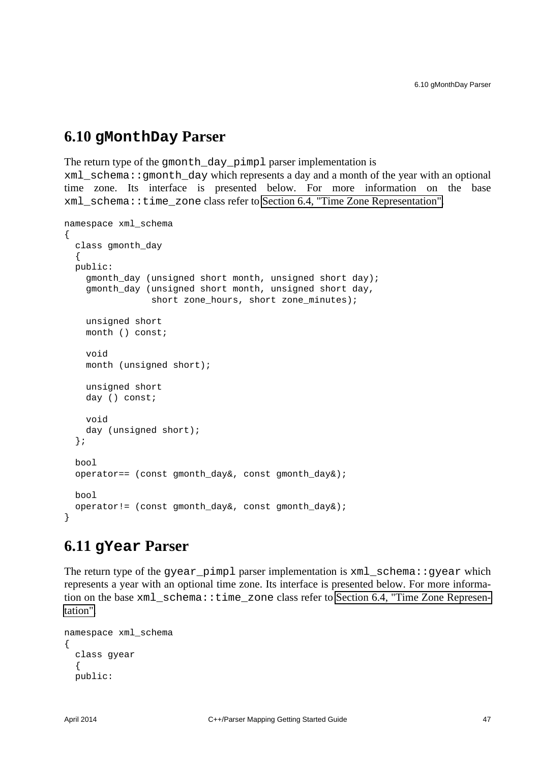#### <span id="page-50-0"></span>**6.10 gMonthDay Parser**

The return type of the gmonth\_day\_pimpl parser implementation is

xml\_schema::gmonth\_day which represents a day and a month of the year with an optional time zone. Its interface is presented below. For more information on the base xml\_schema::time\_zone class refer to [Section 6.4, "Time Zone Representation".](#page-44-0)

```
namespace xml_schema
{
   class gmonth_day
   {
   public:
     gmonth_day (unsigned short month, unsigned short day);
    gmonth day (unsigned short month, unsigned short day,
                 short zone hours, short zone minutes);
     unsigned short
     month () const;
     void
    month (unsigned short);
     unsigned short
     day () const;
     void
    day (unsigned short);
   };
   bool
   operator== (const gmonth_day&, const gmonth_day&);
   bool
   operator!= (const gmonth_day&, const gmonth_day&);
}
```
### <span id="page-50-1"></span>**6.11 gYear Parser**

The return type of the gyear pimpl parser implementation is  $xml$  schema::gyear which represents a year with an optional time zone. Its interface is presented below. For more information on the base xml\_schema::time\_zone class refer to [Section 6.4, "Time Zone Represen](#page-44-0)[tation".](#page-44-0)

```
namespace xml_schema
{
   class gyear
   \left\{ \right. public:
```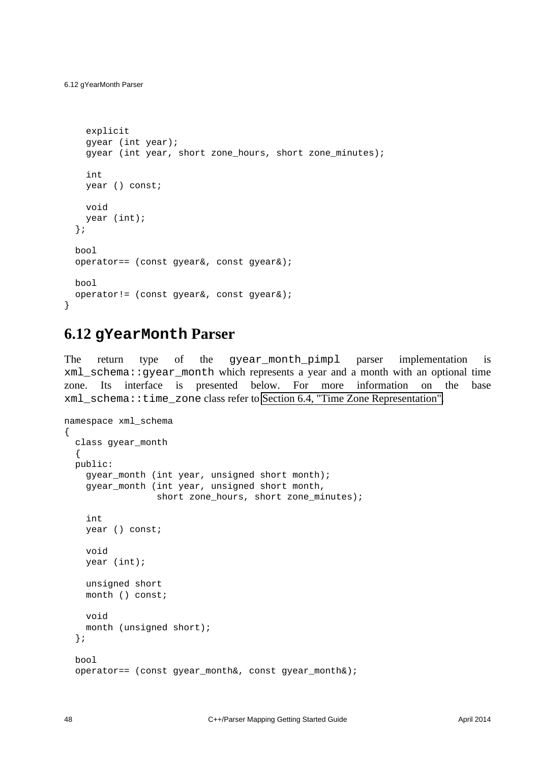}

```
 explicit
   gyear (int year);
   gyear (int year, short zone_hours, short zone_minutes);
   int
   year () const;
   void
   year (int);
 };
 bool
 operator== (const gyear&, const gyear&);
 bool
 operator!= (const gyear&, const gyear&);
```
#### <span id="page-51-0"></span>**6.12 gYearMonth Parser**

The return type of the gyear\_month\_pimpl parser implementation is xml\_schema::gyear\_month which represents a year and a month with an optional time zone. Its interface is presented below. For more information on the base xml\_schema::time\_zone class refer to [Section 6.4, "Time Zone Representation".](#page-44-0)

```
namespace xml_schema
{
   class gyear_month
  \{ public:
     gyear_month (int year, unsigned short month);
     gyear_month (int year, unsigned short month,
                   short zone_hours, short zone_minutes);
     int
     year () const;
     void
     year (int);
     unsigned short
     month () const;
     void
     month (unsigned short);
   };
   bool
   operator== (const gyear_month&, const gyear_month&);
```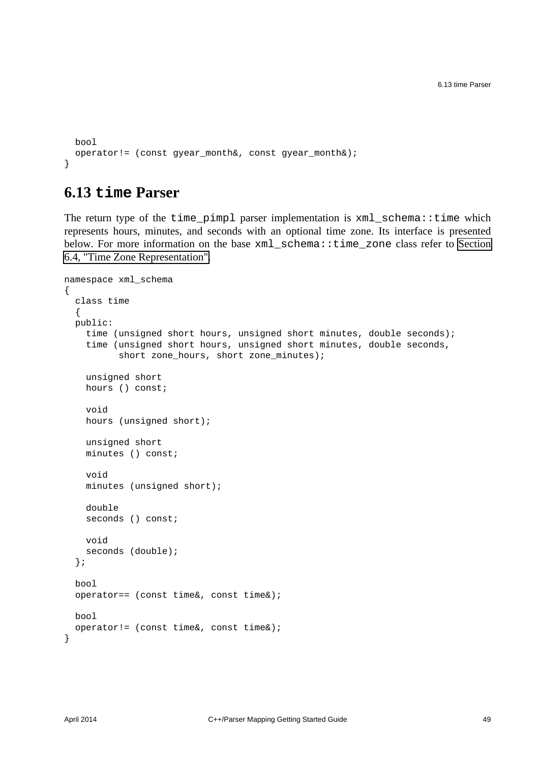```
 bool
  operator!= (const gyear_month&, const gyear_month&);
}
```
#### <span id="page-52-0"></span>**6.13 time Parser**

The return type of the time\_pimpl parser implementation is xml\_schema::time which represents hours, minutes, and seconds with an optional time zone. Its interface is presented below. For more information on the base xml\_schema::time\_zone class refer to [Section](#page-44-0) [6.4, "Time Zone Representation".](#page-44-0)

```
namespace xml_schema
{
   class time
   {
   public:
     time (unsigned short hours, unsigned short minutes, double seconds);
     time (unsigned short hours, unsigned short minutes, double seconds,
           short zone_hours, short zone_minutes);
     unsigned short
     hours () const;
     void
    hours (unsigned short);
     unsigned short
     minutes () const;
     void
     minutes (unsigned short);
     double
    seconds () const;
     void
     seconds (double);
   };
   bool
   operator== (const time&, const time&);
   bool
   operator!= (const time&, const time&);
}
```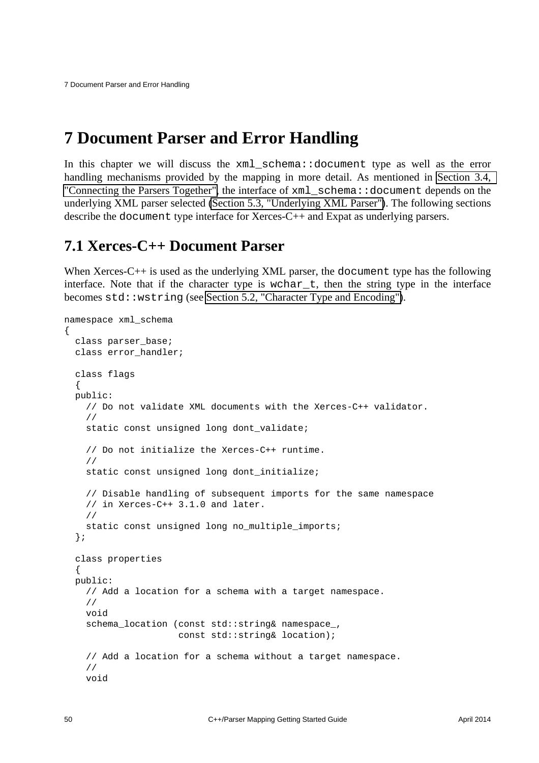### <span id="page-53-0"></span>**7 Document Parser and Error Handling**

In this chapter we will discuss the xml\_schema::document type as well as the error handling mechanisms provided by the mapping in more detail. As mentioned in [Section 3.4,](#page-17-0)  ["Connecting the Parsers Together",](#page-17-0) the interface of xml\_schema::document depends on the underlying XML parser selected [\(Section 5.3, "Underlying XML Parser"\)](#page-31-1). The following sections describe the document type interface for Xerces-C++ and Expat as underlying parsers.

#### <span id="page-53-1"></span>**7.1 Xerces-C++ Document Parser**

When Xerces-C++ is used as the underlying XML parser, the document type has the following interface. Note that if the character type is wchar  $t$ , then the string type in the interface becomes std::wstring (see [Section 5.2, "Character Type and Encoding"\)](#page-31-0).

```
namespace xml_schema
{
   class parser_base;
   class error_handler;
   class flags
 {
   public:
     // Do not validate XML documents with the Xerces-C++ validator.
     //
     static const unsigned long dont_validate;
     // Do not initialize the Xerces-C++ runtime.
     //
    static const unsigned long dont initialize;
     // Disable handling of subsequent imports for the same namespace
     // in Xerces-C++ 3.1.0 and later.
     //
     static const unsigned long no_multiple_imports;
   };
   class properties
  \left\{ \right. public:
     // Add a location for a schema with a target namespace.
     //
     void
     schema_location (const std::string& namespace_,
                       const std::string& location);
     // Add a location for a schema without a target namespace.
     //
     void
```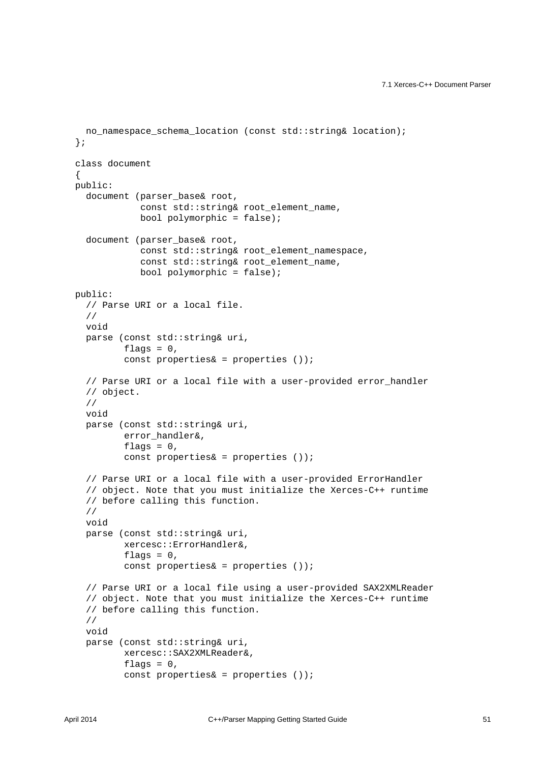```
 no_namespace_schema_location (const std::string& location);
 };
 class document
 {
 public:
  document (parser base& root,
             const std::string& root_element_name,
             bool polymorphic = false);
   document (parser_base& root,
             const std::string& root_element_namespace,
            const std:: string& root element name,
            bool polymorphic = false;
 public:
   // Parse URI or a local file.
   //
   void
   parse (const std::string& uri,
         flags = 0,
         const properties\& = properties ());
   // Parse URI or a local file with a user-provided error_handler
   // object.
   //
   void
   parse (const std::string& uri,
          error_handler&,
         flags = 0,
          const properties& = properties ());
   // Parse URI or a local file with a user-provided ErrorHandler
   // object. Note that you must initialize the Xerces-C++ runtime
   // before calling this function.
   //
   void
   parse (const std::string& uri,
          xercesc::ErrorHandler&,
         flags = 0,
          const properties& = properties ());
   // Parse URI or a local file using a user-provided SAX2XMLReader
   // object. Note that you must initialize the Xerces-C++ runtime
   // before calling this function.
   //
   void
   parse (const std::string& uri,
          xercesc::SAX2XMLReader&,
         flags = 0,
          const properties& = properties ());
```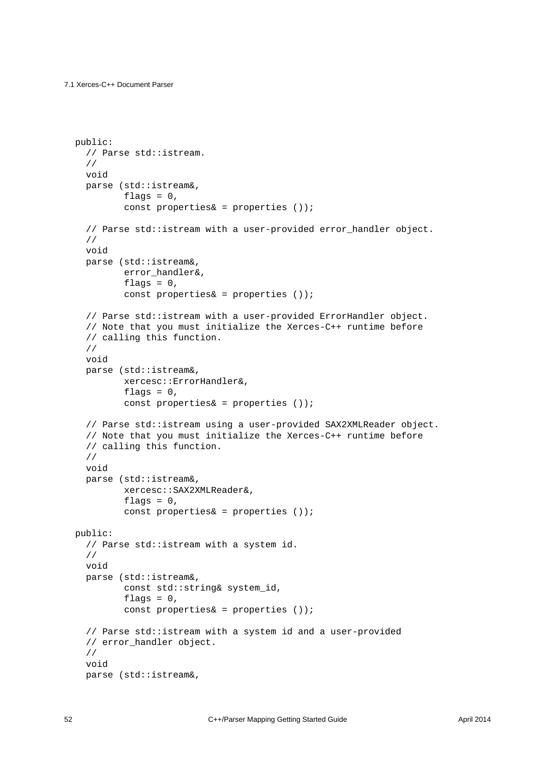```
 public:
   // Parse std::istream.
   //
   void
   parse (std::istream&,
         flags = 0,
         const properties\& = properties ());
  // Parse std:: istream with a user-provided error handler object.
   //
   void
   parse (std::istream&,
         error handler&,
         flags = 0,
         const properties\& = properties ());
   // Parse std::istream with a user-provided ErrorHandler object.
   // Note that you must initialize the Xerces-C++ runtime before
   // calling this function.
   //
   void
   parse (std::istream&,
          xercesc::ErrorHandler&,
         flags = 0,
          const properties& = properties ());
   // Parse std::istream using a user-provided SAX2XMLReader object.
   // Note that you must initialize the Xerces-C++ runtime before
   // calling this function.
   //
   void
   parse (std::istream&,
          xercesc::SAX2XMLReader&,
         flags = 0,
          const properties& = properties ());
 public:
   // Parse std::istream with a system id.
   //
   void
   parse (std::istream&,
          const std::string& system_id,
         flags = 0,
          const properties& = properties ());
   // Parse std::istream with a system id and a user-provided
   // error_handler object.
   //
   void
   parse (std::istream&,
```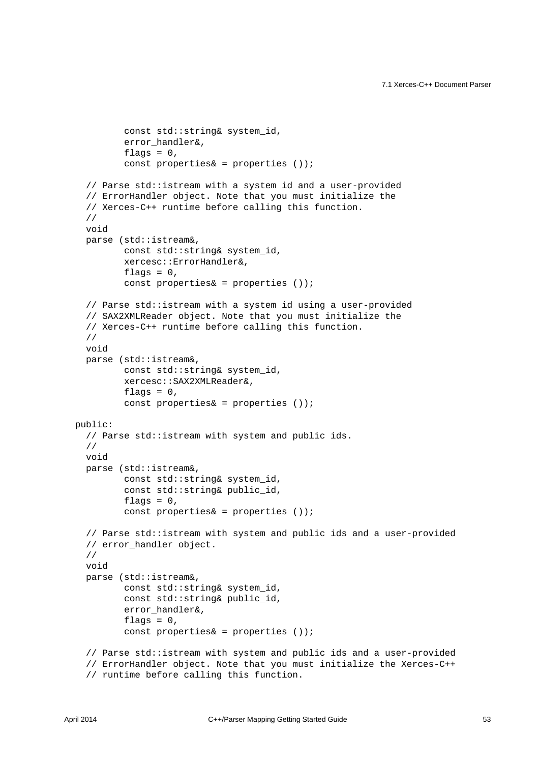```
const std:: string& system id,
         error handler&,
         flags = 0,
         const properties\& = properties ());
   // Parse std::istream with a system id and a user-provided
   // ErrorHandler object. Note that you must initialize the
   // Xerces-C++ runtime before calling this function.
   //
   void
  parse (std::istream&,
          const std::string& system_id,
          xercesc::ErrorHandler&,
         flags = 0,
         const properties\& = properties ());
   // Parse std::istream with a system id using a user-provided
   // SAX2XMLReader object. Note that you must initialize the
   // Xerces-C++ runtime before calling this function.
   //
  void
  parse (std::istream&,
          const std::string& system_id,
          xercesc::SAX2XMLReader&,
         flags = 0,
          const properties& = properties ());
 public:
   // Parse std::istream with system and public ids.
   //
   void
  parse (std::istream&,
          const std::string& system_id,
          const std::string& public_id,
         flags = 0,
          const properties& = properties ());
   // Parse std::istream with system and public ids and a user-provided
   // error_handler object.
   //
   void
  parse (std::istream&,
          const std::string& system_id,
          const std::string& public_id,
          error_handler&,
         flags = 0,
          const properties& = properties ());
   // Parse std::istream with system and public ids and a user-provided
   // ErrorHandler object. Note that you must initialize the Xerces-C++
   // runtime before calling this function.
```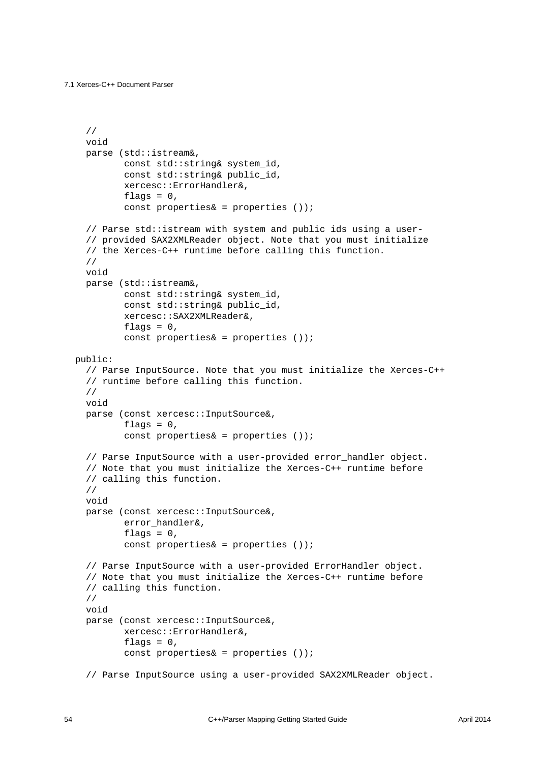```
 //
   void
   parse (std::istream&,
         const std:: string& system id,
          const std::string& public_id,
          xercesc::ErrorHandler&,
         flags = 0,
         const properties\& = properties ());
   // Parse std::istream with system and public ids using a user-
   // provided SAX2XMLReader object. Note that you must initialize
   // the Xerces-C++ runtime before calling this function.
   //
   void
   parse (std::istream&,
          const std::string& system_id,
          const std::string& public_id,
          xercesc::SAX2XMLReader&,
         flags = 0,
         const properties\& = properties ());
 public:
   // Parse InputSource. Note that you must initialize the Xerces-C++
   // runtime before calling this function.
   //
   void
   parse (const xercesc::InputSource&,
         flags = 0,
          const properties& = properties ());
   // Parse InputSource with a user-provided error_handler object.
   // Note that you must initialize the Xerces-C++ runtime before
   // calling this function.
   //
   void
   parse (const xercesc::InputSource&,
          error_handler&,
         flags = 0,
          const properties& = properties ());
   // Parse InputSource with a user-provided ErrorHandler object.
   // Note that you must initialize the Xerces-C++ runtime before
   // calling this function.
   //
   void
   parse (const xercesc::InputSource&,
          xercesc::ErrorHandler&,
         flags = 0,
          const properties& = properties ());
   // Parse InputSource using a user-provided SAX2XMLReader object.
```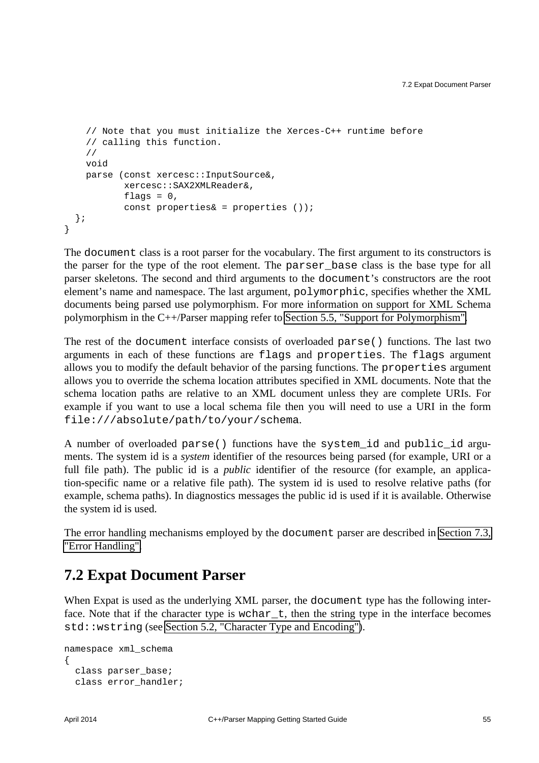```
 // Note that you must initialize the Xerces-C++ runtime before
     // calling this function.
     //
    void
    parse (const xercesc::InputSource&,
            xercesc::SAX2XMLReader&,
           flags = 0,
           const properties\& = properties ());
   };
}
```
The document class is a root parser for the vocabulary. The first argument to its constructors is the parser for the type of the root element. The parser\_base class is the base type for all parser skeletons. The second and third arguments to the document's constructors are the root element's name and namespace. The last argument, polymorphic, specifies whether the XML documents being parsed use polymorphism. For more information on support for XML Schema polymorphism in the C++/Parser mapping refer to [Section 5.5, "Support for Polymorphism".](#page-32-0)

The rest of the document interface consists of overloaded parse() functions. The last two arguments in each of these functions are flags and properties. The flags argument allows you to modify the default behavior of the parsing functions. The properties argument allows you to override the schema location attributes specified in XML documents. Note that the schema location paths are relative to an XML document unless they are complete URIs. For example if you want to use a local schema file then you will need to use a URI in the form file:///absolute/path/to/your/schema.

A number of overloaded parse() functions have the system\_id and public\_id arguments. The system id is a *system* identifier of the resources being parsed (for example, URI or a full file path). The public id is a *public* identifier of the resource (for example, an application-specific name or a relative file path). The system id is used to resolve relative paths (for example, schema paths). In diagnostics messages the public id is used if it is available. Otherwise the system id is used.

The error handling mechanisms employed by the document parser are described in [Section 7.3,](#page-62-0) ["Error Handling".](#page-62-0)

#### <span id="page-58-0"></span>**7.2 Expat Document Parser**

When Expat is used as the underlying XML parser, the document type has the following interface. Note that if the character type is wchar<sub>—</sub>t, then the string type in the interface becomes std::wstring (see [Section 5.2, "Character Type and Encoding"\)](#page-31-0).

```
namespace xml_schema
{
  class parser base;
  class error handler;
```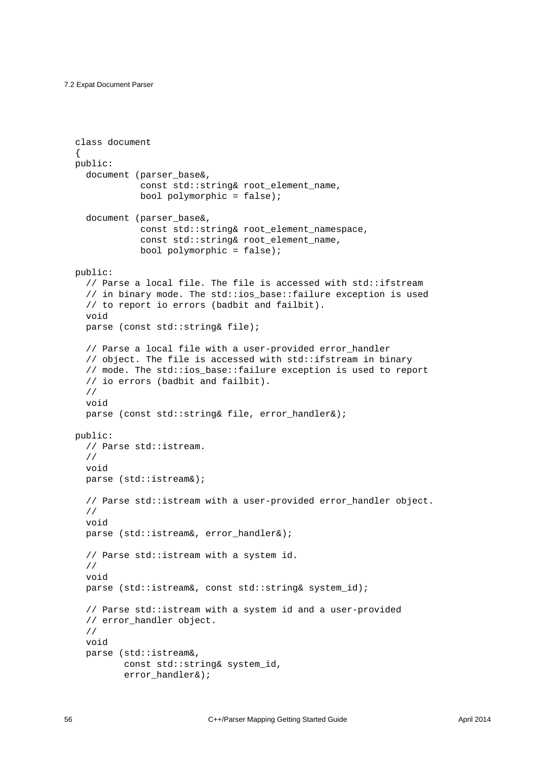```
 class document
 {
  public:
   document (parser base&,
              const std:: string& root element name,
              bool polymorphic = false;
   document (parser base&,
               const std::string& root_element_namespace,
               const std::string& root_element_name,
              bool polymorphic = false;
  public:
    // Parse a local file. The file is accessed with std::ifstream
    // in binary mode. The std::ios_base::failure exception is used
    // to report io errors (badbit and failbit).
    void
   parse (const std::string& file);
   // Parse a local file with a user-provided error handler
    // object. The file is accessed with std::ifstream in binary
    // mode. The std::ios_base::failure exception is used to report
    // io errors (badbit and failbit).
    //
    void
    parse (const std::string& file, error_handler&);
  public:
    // Parse std::istream.
    //
    void
    parse (std::istream&);
    // Parse std::istream with a user-provided error_handler object.
    //
    void
    parse (std::istream&, error_handler&);
    // Parse std::istream with a system id.
    //
    void
    parse (std::istream&, const std::string& system_id);
    // Parse std::istream with a system id and a user-provided
    // error_handler object.
    //
    void
    parse (std::istream&,
            const std::string& system_id,
            error_handler&);
```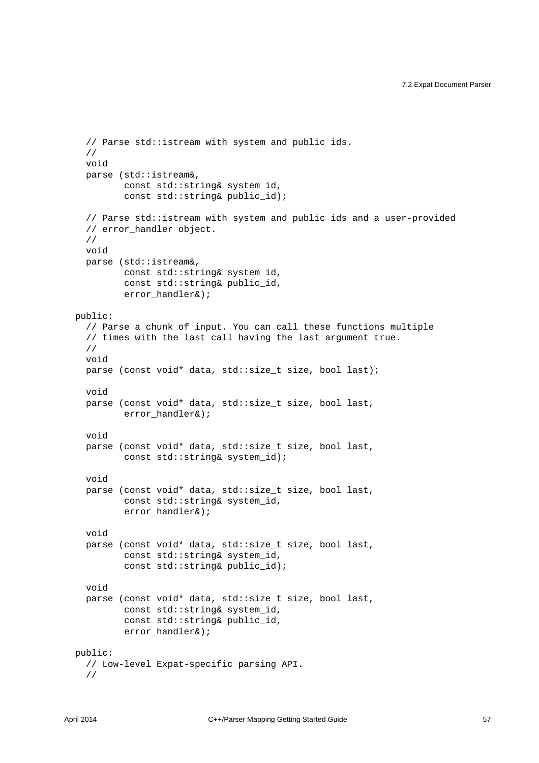```
 // Parse std::istream with system and public ids.
   //
   void
   parse (std::istream&,
          const std::string& system_id,
         const std:: string& public id);
   // Parse std::istream with system and public ids and a user-provided
  // error handler object.
   //
   void
   parse (std::istream&,
         const std:: string& system id,
         const std:: string& public id,
         error handler&);
 public:
   // Parse a chunk of input. You can call these functions multiple
   // times with the last call having the last argument true.
   //
   void
  parse (const void* data, std::size_t size, bool last);
   void
   parse (const void* data, std::size_t size, bool last,
         error handler&);
   void
   parse (const void* data, std::size_t size, bool last,
         const std:: string& system_id);
   void
   parse (const void* data, std::size_t size, bool last,
          const std::string& system_id,
          error_handler&);
   void
   parse (const void* data, std::size_t size, bool last,
          const std::string& system_id,
          const std::string& public_id);
   void
   parse (const void* data, std::size_t size, bool last,
          const std::string& system_id,
          const std::string& public_id,
          error_handler&);
 public:
   // Low-level Expat-specific parsing API.
   //
```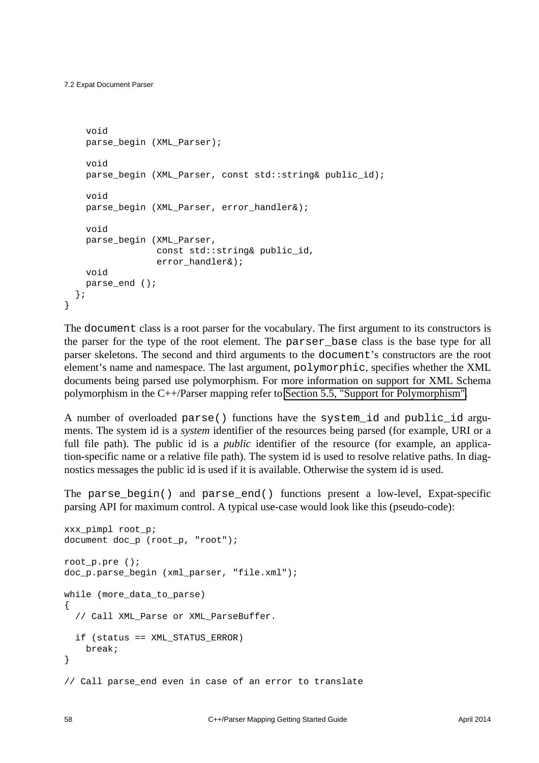```
 void
  parse begin (XML Parser);
   void
   parse_begin (XML_Parser, const std::string& public_id);
   void
  parse_begin (XML_Parser, error_handler&);
   void
   parse_begin (XML_Parser,
                const std::string& public_id,
               error handler&);
   void
  parse_end ();
 };
```
The document class is a root parser for the vocabulary. The first argument to its constructors is the parser for the type of the root element. The parser\_base class is the base type for all parser skeletons. The second and third arguments to the document's constructors are the root element's name and namespace. The last argument, polymorphic, specifies whether the XML documents being parsed use polymorphism. For more information on support for XML Schema polymorphism in the C++/Parser mapping refer to [Section 5.5, "Support for Polymorphism".](#page-32-0)

A number of overloaded parse() functions have the system\_id and public\_id arguments. The system id is a *system* identifier of the resources being parsed (for example, URI or a full file path). The public id is a *public* identifier of the resource (for example, an application-specific name or a relative file path). The system id is used to resolve relative paths. In diagnostics messages the public id is used if it is available. Otherwise the system id is used.

The parse\_begin() and parse\_end() functions present a low-level, Expat-specific parsing API for maximum control. A typical use-case would look like this (pseudo-code):

```
xxx_pimpl root_p;
document doc_p (root_p, "root");
root_p.pre ();
doc_p.parse_begin (xml_parser, "file.xml");
while (more_data_to_parse)
{
   // Call XML_Parse or XML_ParseBuffer.
   if (status == XML_STATUS_ERROR)
     break;
}
// Call parse_end even in case of an error to translate
```
}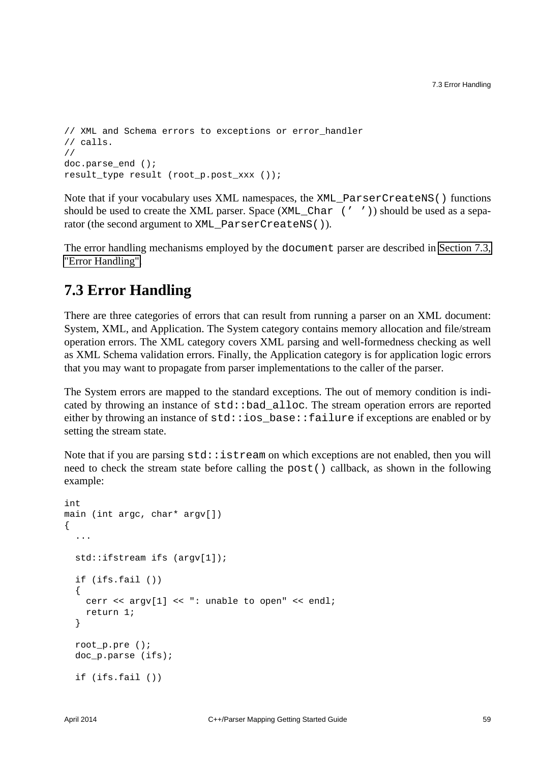```
// XML and Schema errors to exceptions or error handler
// calls.
//
doc.parse end ();
result_type result (root_p.post_xxx ());
```
Note that if your vocabulary uses XML namespaces, the XML\_ParserCreateNS() functions should be used to create the XML parser. Space (XML\_Char (' ')) should be used as a separator (the second argument to XML\_ParserCreateNS()).

The error handling mechanisms employed by the document parser are described in [Section 7.3,](#page-62-0) ["Error Handling".](#page-62-0)

#### <span id="page-62-0"></span>**7.3 Error Handling**

There are three categories of errors that can result from running a parser on an XML document: System, XML, and Application. The System category contains memory allocation and file/stream operation errors. The XML category covers XML parsing and well-formedness checking as well as XML Schema validation errors. Finally, the Application category is for application logic errors that you may want to propagate from parser implementations to the caller of the parser.

The System errors are mapped to the standard exceptions. The out of memory condition is indicated by throwing an instance of std::bad\_alloc. The stream operation errors are reported either by throwing an instance of std::ios\_base::failure if exceptions are enabled or by setting the stream state.

Note that if you are parsing  $std::istream$  on which exceptions are not enabled, then you will need to check the stream state before calling the post() callback, as shown in the following example:

```
int
main (int argc, char* argv[])
{
   ...
   std::ifstream ifs (argv[1]);
   if (ifs.fail ())
   {
     cerr << argv[1] << ": unable to open" << endl;
     return 1;
   }
   root_p.pre ();
  doc p.parse (ifs);
   if (ifs.fail ())
```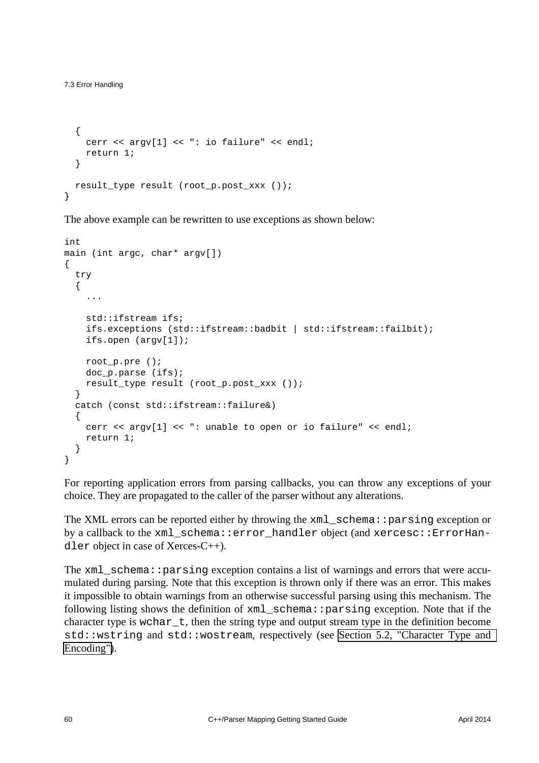```
 {
    cerr << argv[1] << ": io failure" << endl;
    return 1;
   }
 result type result (root p.post xxx ());
}
```
The above example can be rewritten to use exceptions as shown below:

```
int
main (int argc, char* argv[])
{
   try
   {
     ...
     std::ifstream ifs;
     ifs.exceptions (std::ifstream::badbit | std::ifstream::failbit);
     ifs.open (argv[1]);
     root_p.pre ();
     doc_p.parse (ifs);
     result_type result (root_p.post_xxx ());
   }
   catch (const std::ifstream::failure&)
   {
     cerr << argv[1] << ": unable to open or io failure" << endl;
     return 1;
   }
}
```
For reporting application errors from parsing callbacks, you can throw any exceptions of your choice. They are propagated to the caller of the parser without any alterations.

The XML errors can be reported either by throwing the xml\_schema::parsing exception or by a callback to the xml schema::error handler object (and xercesc::ErrorHandler object in case of Xerces-C++).

The xml\_schema::parsing exception contains a list of warnings and errors that were accumulated during parsing. Note that this exception is thrown only if there was an error. This makes it impossible to obtain warnings from an otherwise successful parsing using this mechanism. The following listing shows the definition of xml\_schema::parsing exception. Note that if the character type is wchar $t$ , then the string type and output stream type in the definition become std::wstring and std::wostream, respectively (see [Section 5.2, "Character Type and](#page-31-0)  [Encoding"\)](#page-31-0).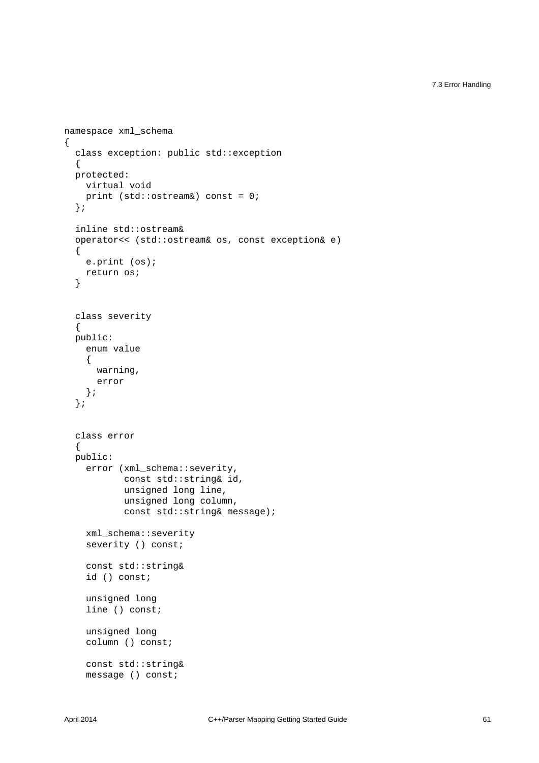7.3 Error Handling

```
namespace xml_schema
{
   class exception: public std::exception
   {
   protected:
    virtual void
    print (std::ostream&) const = 0;
   };
   inline std::ostream&
   operator<< (std::ostream& os, const exception& e)
   {
    e.print (os);
    return os;
   }
   class severity
   {
   public:
     enum value
     {
       warning,
       error
     };
   };
   class error
   {
   public:
    error (xml_schema::severity,
            const std::string& id,
             unsigned long line,
             unsigned long column,
            const std::string& message);
     xml_schema::severity
     severity () const;
     const std::string&
     id () const;
     unsigned long
     line () const;
     unsigned long
     column () const;
     const std::string&
     message () const;
```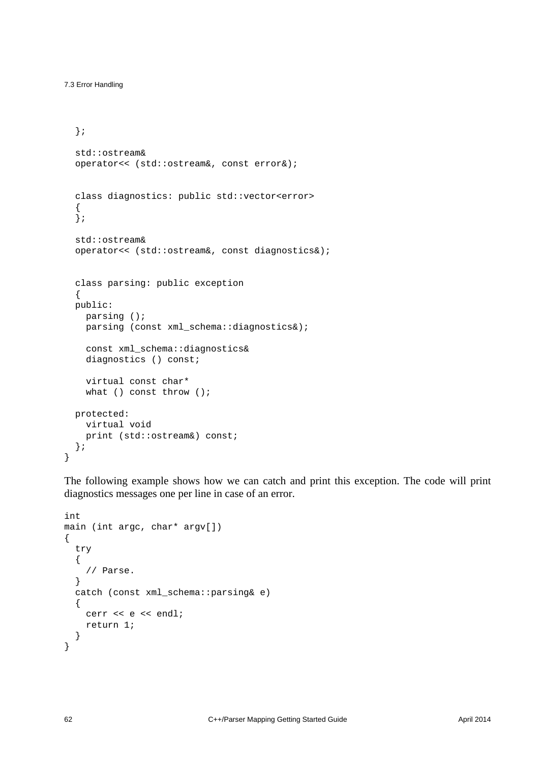```
 };
  std::ostream&
  operator<< (std::ostream&, const error&);
  class diagnostics: public std::vector<error>
   {
 \mathcal{E} std::ostream&
  operator<< (std::ostream&, const diagnostics&);
  class parsing: public exception
 {
  public:
    parsing ();
    parsing (const xml_schema::diagnostics&);
    const xml_schema::diagnostics&
    diagnostics () const;
    virtual const char*
   what () const throw ();
  protected:
    virtual void
    print (std::ostream&) const;
  };
```
The following example shows how we can catch and print this exception. The code will print diagnostics messages one per line in case of an error.

```
int
main (int argc, char* argv[])
{
   try
   {
     // Parse.
   }
   catch (const xml_schema::parsing& e)
   {
    cerr << e << endl;
     return 1;
   }
}
```
}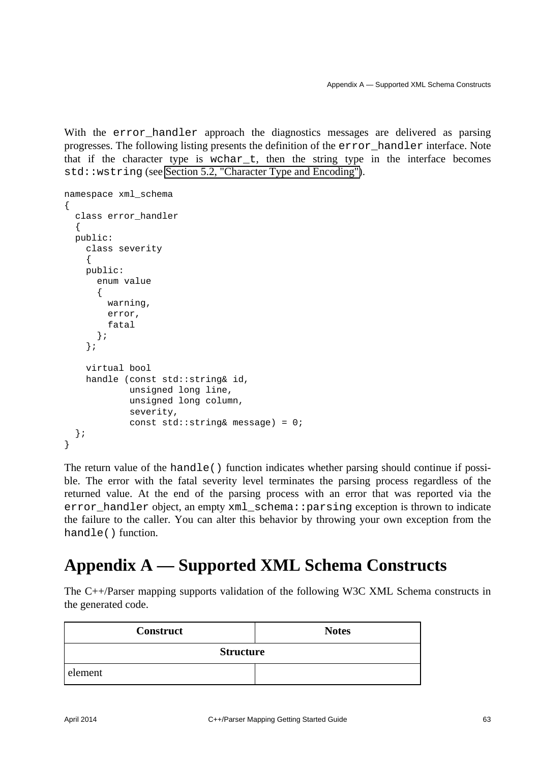With the error\_handler approach the diagnostics messages are delivered as parsing progresses. The following listing presents the definition of the error\_handler interface. Note that if the character type is wchar\_t, then the string type in the interface becomes std::wstring (see [Section 5.2, "Character Type and Encoding"\)](#page-31-0).

```
namespace xml_schema
{
   class error_handler
   {
   public:
     class severity
     {
     public:
       enum value
       {
         warning,
         error,
         fatal
       };
     };
     virtual bool
     handle (const std::string& id,
              unsigned long line,
              unsigned long column,
              severity,
             const std::string& message) = 0;
   };
}
```
The return value of the handle() function indicates whether parsing should continue if possible. The error with the fatal severity level terminates the parsing process regardless of the returned value. At the end of the parsing process with an error that was reported via the error\_handler object, an empty xml\_schema::parsing exception is thrown to indicate the failure to the caller. You can alter this behavior by throwing your own exception from the handle() function.

### <span id="page-66-0"></span>**Appendix A — Supported XML Schema Constructs**

The C++/Parser mapping supports validation of the following W3C XML Schema constructs in the generated code.

| <b>Construct</b> | <b>Notes</b> |  |  |  |
|------------------|--------------|--|--|--|
| <b>Structure</b> |              |  |  |  |
| element          |              |  |  |  |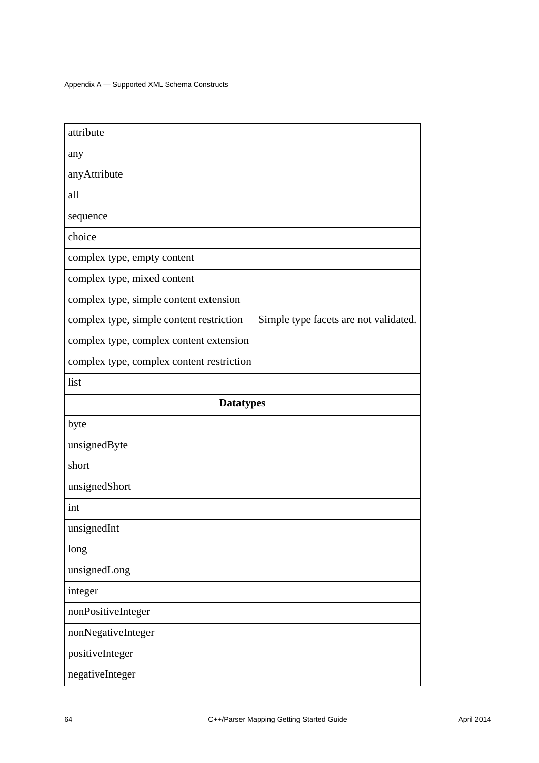| attribute                                 |                                       |  |  |  |
|-------------------------------------------|---------------------------------------|--|--|--|
| any                                       |                                       |  |  |  |
| anyAttribute                              |                                       |  |  |  |
| all                                       |                                       |  |  |  |
| sequence                                  |                                       |  |  |  |
| choice                                    |                                       |  |  |  |
| complex type, empty content               |                                       |  |  |  |
| complex type, mixed content               |                                       |  |  |  |
| complex type, simple content extension    |                                       |  |  |  |
| complex type, simple content restriction  | Simple type facets are not validated. |  |  |  |
| complex type, complex content extension   |                                       |  |  |  |
| complex type, complex content restriction |                                       |  |  |  |
| list                                      |                                       |  |  |  |
| <b>Datatypes</b>                          |                                       |  |  |  |
| byte                                      |                                       |  |  |  |
| unsignedByte                              |                                       |  |  |  |
| short                                     |                                       |  |  |  |
| unsignedShort                             |                                       |  |  |  |
| int                                       |                                       |  |  |  |
| unsignedInt                               |                                       |  |  |  |
| long                                      |                                       |  |  |  |
| unsignedLong                              |                                       |  |  |  |
| integer                                   |                                       |  |  |  |
| nonPositiveInteger                        |                                       |  |  |  |
| nonNegativeInteger                        |                                       |  |  |  |
| positiveInteger                           |                                       |  |  |  |
| negativeInteger                           |                                       |  |  |  |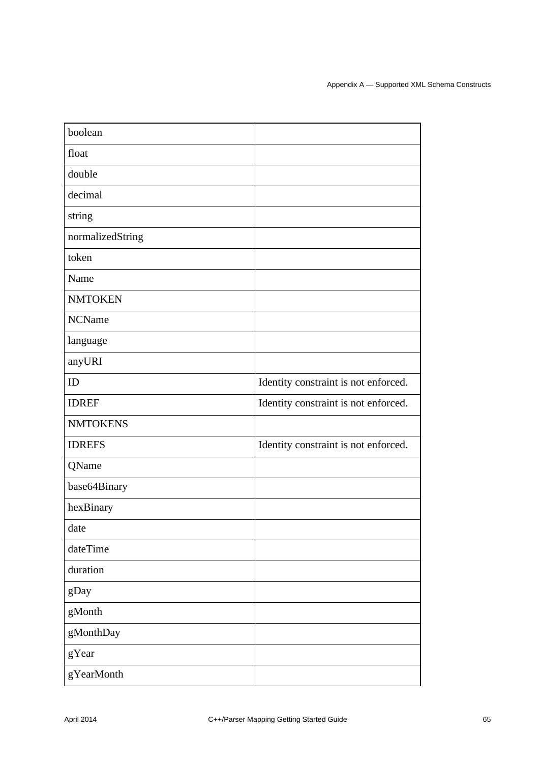| boolean          |                                      |
|------------------|--------------------------------------|
| float            |                                      |
| double           |                                      |
| decimal          |                                      |
| string           |                                      |
| normalizedString |                                      |
| token            |                                      |
| Name             |                                      |
| <b>NMTOKEN</b>   |                                      |
| <b>NCName</b>    |                                      |
| language         |                                      |
| anyURI           |                                      |
| ID               | Identity constraint is not enforced. |
| <b>IDREF</b>     | Identity constraint is not enforced. |
| <b>NMTOKENS</b>  |                                      |
| <b>IDREFS</b>    | Identity constraint is not enforced. |
| QName            |                                      |
| base64Binary     |                                      |
| hexBinary        |                                      |
| date             |                                      |
| dateTime         |                                      |
| duration         |                                      |
| gDay             |                                      |
| gMonth           |                                      |
| gMonthDay        |                                      |
| gYear            |                                      |
| gYearMonth       |                                      |